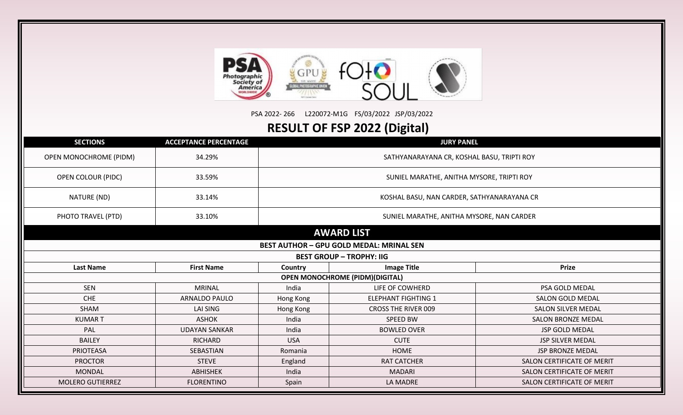

PSA 2022- 266 L220072-M1G FS/03/2022 JSP/03/2022

## **RESULT OF FSP 2022 (Digital)**

| <b>SECTIONS</b>               | <b>ACCEPTANCE PERCENTAGE</b> | <b>JURY PANEL</b> |                                                 |                            |  |  |  |  |
|-------------------------------|------------------------------|-------------------|-------------------------------------------------|----------------------------|--|--|--|--|
| <b>OPEN MONOCHROME (PIDM)</b> | 34.29%                       |                   | SATHYANARAYANA CR, KOSHAL BASU, TRIPTI ROY      |                            |  |  |  |  |
| OPEN COLOUR (PIDC)            | 33.59%                       |                   | SUNIEL MARATHE, ANITHA MYSORE, TRIPTI ROY       |                            |  |  |  |  |
| NATURE (ND)                   | 33.14%                       |                   | KOSHAL BASU, NAN CARDER, SATHYANARAYANA CR      |                            |  |  |  |  |
| PHOTO TRAVEL (PTD)            | 33.10%                       |                   | SUNIEL MARATHE, ANITHA MYSORE, NAN CARDER       |                            |  |  |  |  |
|                               |                              |                   | <b>AWARD LIST</b>                               |                            |  |  |  |  |
|                               |                              |                   | <b>BEST AUTHOR - GPU GOLD MEDAL: MRINAL SEN</b> |                            |  |  |  |  |
|                               |                              |                   | <b>BEST GROUP - TROPHY: IIG</b>                 |                            |  |  |  |  |
| <b>Last Name</b>              | <b>First Name</b>            | Country           | <b>Image Title</b>                              | <b>Prize</b>               |  |  |  |  |
|                               |                              |                   | <b>OPEN MONOCHROME (PIDM)(DIGITAL)</b>          |                            |  |  |  |  |
| <b>SEN</b>                    | <b>MRINAL</b>                | India             | LIFE OF COWHERD                                 | PSA GOLD MEDAL             |  |  |  |  |
| <b>CHE</b>                    | ARNALDO PAULO                | Hong Kong         | <b>ELEPHANT FIGHTING 1</b>                      | <b>SALON GOLD MEDAL</b>    |  |  |  |  |
| SHAM                          | <b>LAI SING</b>              | Hong Kong         | <b>CROSS THE RIVER 009</b>                      | <b>SALON SILVER MEDAL</b>  |  |  |  |  |
| <b>KUMART</b>                 | <b>ASHOK</b>                 | India             | <b>SPEED BW</b>                                 | <b>SALON BRONZE MEDAL</b>  |  |  |  |  |
| PAL                           | <b>UDAYAN SANKAR</b>         | India             | <b>BOWLED OVER</b>                              | JSP GOLD MEDAL             |  |  |  |  |
| <b>BAILEY</b>                 | <b>RICHARD</b>               | <b>USA</b>        | <b>CUTE</b>                                     | JSP SILVER MEDAL           |  |  |  |  |
| <b>PRIOTEASA</b>              | SEBASTIAN                    | Romania           | <b>HOME</b>                                     | <b>JSP BRONZE MEDAL</b>    |  |  |  |  |
| <b>PROCTOR</b>                | <b>STEVE</b>                 | England           | <b>RAT CATCHER</b>                              | SALON CERTIFICATE OF MERIT |  |  |  |  |
| <b>MONDAL</b>                 | <b>ABHISHEK</b>              | India             | <b>MADARI</b>                                   | SALON CERTIFICATE OF MERIT |  |  |  |  |
| <b>MOLERO GUTIERREZ</b>       | <b>FLORENTINO</b>            | Spain             | LA MADRE                                        | SALON CERTIFICATE OF MERIT |  |  |  |  |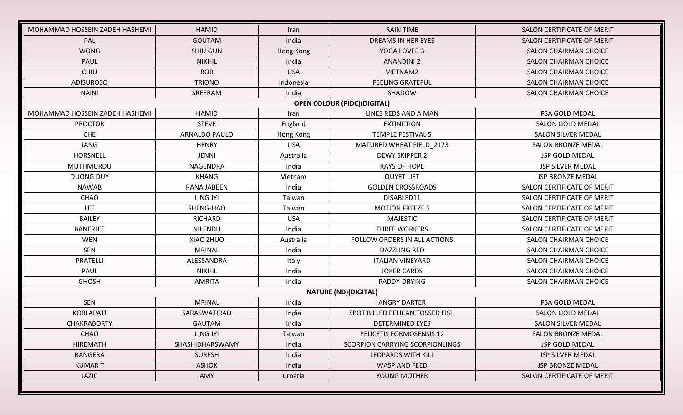| MOHAMMAD HOSSEIN ZADEH HASHEMI | <b>HAMID</b>         | Iran       | <b>RAIN TIME</b>                       | SALON CERTIFICATE OF MERIT   |
|--------------------------------|----------------------|------------|----------------------------------------|------------------------------|
| <b>PAL</b>                     | <b>GOUTAM</b>        | India      | DREAMS IN HER EYES                     | SALON CERTIFICATE OF MERIT   |
| <b>WONG</b>                    | <b>SHIU GUN</b>      | Hong Kong  | YOGA LOVER 3                           | SALON CHAIRMAN CHOICE        |
| <b>PAUL</b>                    | <b>NIKHIL</b>        | India      | <b>ANANDINI 2</b>                      | <b>SALON CHAIRMAN CHOICE</b> |
| <b>CHIU</b>                    | <b>BOB</b>           | <b>USA</b> | VIETNAM2                               | <b>SALON CHAIRMAN CHOICE</b> |
| <b>ADISUROSO</b>               | <b>TRIONO</b>        | Indonesia  | <b>FEELING GRATEFUL</b>                | SALON CHAIRMAN CHOICE        |
| <b>NAINI</b>                   | SREERAM              | India      | SHADOW                                 | SALON CHAIRMAN CHOICE        |
|                                |                      |            | <b>OPEN COLOUR (PIDC)(DIGITAL)</b>     |                              |
| MOHAMMAD HOSSEIN ZADEH HASHEMI | <b>HAMID</b>         | Iran       | LINES REDS AND A MAN                   | PSA GOLD MEDAL               |
| <b>PROCTOR</b>                 | <b>STEVE</b>         | England    | <b>EXTINCTION</b>                      | <b>SALON GOLD MEDAL</b>      |
| <b>CHE</b>                     | <b>ARNALDO PAULO</b> | Hong Kong  | <b>TEMPLE FESTIVAL 5</b>               | <b>SALON SILVER MEDAL</b>    |
| <b>JANG</b>                    | <b>HENRY</b>         | <b>USA</b> | MATURED WHEAT FIELD_2173               | SALON BRONZE MEDAL           |
| HORSNELL                       | <b>JENNI</b>         | Australia  | <b>DEWY SKIPPER 2</b>                  | <b>JSP GOLD MEDAL</b>        |
| MUTHMURDU                      | <b>NAGENDRA</b>      | India      | <b>RAYS OF HOPE</b>                    | <b>JSP SILVER MEDAL</b>      |
| <b>DUONG DUY</b>               | KHANG                | Vietnam    | <b>QUYET LIET</b>                      | <b>JSP BRONZE MEDAL</b>      |
| <b>NAWAB</b>                   | RANA JABEEN          | India      | <b>GOLDEN CROSSROADS</b>               | SALON CERTIFICATE OF MERIT   |
| CHAO                           | LING JYI             | Taiwan     | DISABLED11                             | SALON CERTIFICATE OF MERIT   |
| <b>LEE</b>                     | SHENG-HAO            | Taiwan     | <b>MOTION FREEZE 5</b>                 | SALON CERTIFICATE OF MERIT   |
| <b>BAILEY</b>                  | <b>RICHARD</b>       | <b>USA</b> | <b>MAJESTIC</b>                        | SALON CERTIFICATE OF MERIT   |
| <b>BANERJEE</b>                | NILENDU              | India      | <b>THREE WORKERS</b>                   | SALON CERTIFICATE OF MERIT   |
| <b>WEN</b>                     | XIAO ZHUO            | Australia  | FOLLOW ORDERS IN ALL ACTIONS           | SALON CHAIRMAN CHOICE        |
| <b>SEN</b>                     | <b>MRINAL</b>        | India      | <b>DAZZLING RED</b>                    | SALON CHAIRMAN CHOICE        |
| PRATELLI                       | ALESSANDRA           | Italy      | <b>ITALIAN VINEYARD</b>                | SALON CHAIRMAN CHOICE        |
| <b>PAUL</b>                    | <b>NIKHIL</b>        | India      | <b>JOKER CARDS</b>                     | SALON CHAIRMAN CHOICE        |
| <b>GHOSH</b>                   | <b>AMRITA</b>        | India      | PADDY-DRYING                           | SALON CHAIRMAN CHOICE        |
|                                |                      |            | <b>NATURE (ND)(DIGITAL)</b>            |                              |
| <b>SEN</b>                     | <b>MRINAL</b>        | India      | <b>ANGRY DARTER</b>                    | PSA GOLD MEDAL               |
| <b>KORLAPATI</b>               | SARASWATIRAO         | India      | SPOT BILLED PELICAN TOSSED FISH        | <b>SALON GOLD MEDAL</b>      |
| <b>CHAKRABORTY</b>             | GAUTAM               | India      | DETERMINED EYES                        | SALON SILVER MEDAL           |
| CHAO                           | LING JYI             | Taiwan     | PEUCETIS FORMOSENSIS 12                | SALON BRONZE MEDAL           |
| <b>HIREMATH</b>                | SHASHIDHARSWAMY      | India      | <b>SCORPION CARRYING SCORPIONLINGS</b> | JSP GOLD MEDAL               |
| <b>BANGERA</b>                 | <b>SURESH</b>        | India      | <b>LEOPARDS WITH KILL</b>              | JSP SILVER MEDAL             |
| <b>KUMART</b>                  | <b>ASHOK</b>         | India      | WASP AND FEED                          | <b>JSP BRONZE MEDAL</b>      |
| JAZIC                          | AMY                  | Croatia    | YOUNG MOTHER                           | SALON CERTIFICATE OF MERIT   |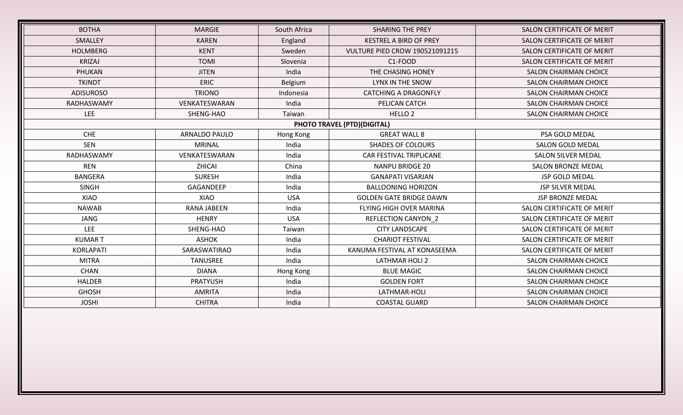| <b>BOTHA</b>     | <b>MARGIE</b>        | South Africa | <b>SHARING THE PREY</b>               | SALON CERTIFICATE OF MERIT        |
|------------------|----------------------|--------------|---------------------------------------|-----------------------------------|
| <b>SMALLEY</b>   | <b>KAREN</b>         | England      | <b>KESTREL A BIRD OF PREY</b>         | <b>SALON CERTIFICATE OF MERIT</b> |
| <b>HOLMBERG</b>  | <b>KENT</b>          | Sweden       | <b>VULTURE PIED CROW 190521091215</b> | SALON CERTIFICATE OF MERIT        |
| <b>KRIZAJ</b>    | <b>TOMI</b>          | Slovenia     | C1-FOOD                               | SALON CERTIFICATE OF MERIT        |
| PHUKAN           | <b>JITEN</b>         | India        | THE CHASING HONEY                     | <b>SALON CHAIRMAN CHOICE</b>      |
| <b>TKINDT</b>    | <b>ERIC</b>          | Belgium      | LYNX IN THE SNOW                      | <b>SALON CHAIRMAN CHOICE</b>      |
| <b>ADISUROSO</b> | <b>TRIONO</b>        | Indonesia    | <b>CATCHING A DRAGONFLY</b>           | <b>SALON CHAIRMAN CHOICE</b>      |
| RADHASWAMY       | VENKATESWARAN        | India        | PELICAN CATCH                         | SALON CHAIRMAN CHOICE             |
| <b>LEE</b>       | SHENG-HAO            | Taiwan       | HELLO <sub>2</sub>                    | <b>SALON CHAIRMAN CHOICE</b>      |
|                  |                      |              | PHOTO TRAVEL (PTD)(DIGITAL)           |                                   |
| <b>CHE</b>       | <b>ARNALDO PAULO</b> | Hong Kong    | <b>GREAT WALL 8</b>                   | PSA GOLD MEDAL                    |
| <b>SEN</b>       | <b>MRINAL</b>        | India        | <b>SHADES OF COLOURS</b>              | <b>SALON GOLD MEDAL</b>           |
| RADHASWAMY       | VENKATESWARAN        | India        | <b>CAR FESTIVAL TRIPLICANE</b>        | <b>SALON SILVER MEDAL</b>         |
| <b>REN</b>       | ZHICAI               | China        | <b>NANPU BRIDGE 20</b>                | <b>SALON BRONZE MEDAL</b>         |
| <b>BANGERA</b>   | <b>SURESH</b>        | India        | <b>GANAPATI VISARJAN</b>              | <b>JSP GOLD MEDAL</b>             |
| <b>SINGH</b>     | GAGANDEEP            | India        | <b>BALLOONING HORIZON</b>             | <b>JSP SILVER MEDAL</b>           |
| XIAO             | XIAO                 | <b>USA</b>   | <b>GOLDEN GATE BRIDGE DAWN</b>        | <b>JSP BRONZE MEDAL</b>           |
| <b>NAWAB</b>     | <b>RANA JABEEN</b>   | India        | FLYING HIGH OVER MARINA               | SALON CERTIFICATE OF MERIT        |
| <b>JANG</b>      | <b>HENRY</b>         | <b>USA</b>   | <b>REFLECTION CANYON 2</b>            | SALON CERTIFICATE OF MERIT        |
| <b>LEE</b>       | SHENG-HAO            | Taiwan       | <b>CITY LANDSCAPE</b>                 | SALON CERTIFICATE OF MERIT        |
| <b>KUMART</b>    | <b>ASHOK</b>         | India        | <b>CHARIOT FESTIVAL</b>               | SALON CERTIFICATE OF MERIT        |
| KORLAPATI        | SARASWATIRAO         | India        | KANUMA FESTIVAL AT KONASEEMA          | SALON CERTIFICATE OF MERIT        |
| <b>MITRA</b>     | <b>TANUSREE</b>      | India        | <b>LATHMAR HOLI 2</b>                 | <b>SALON CHAIRMAN CHOICE</b>      |
| <b>CHAN</b>      | <b>DIANA</b>         | Hong Kong    | <b>BLUE MAGIC</b>                     | SALON CHAIRMAN CHOICE             |
| <b>HALDER</b>    | <b>PRATYUSH</b>      | India        | <b>GOLDEN FORT</b>                    | SALON CHAIRMAN CHOICE             |
| <b>GHOSH</b>     | <b>AMRITA</b>        | India        | LATHMAR-HOLI                          | <b>SALON CHAIRMAN CHOICE</b>      |
| <b>JOSHI</b>     | <b>CHITRA</b>        | India        | <b>COASTAL GUARD</b>                  | <b>SALON CHAIRMAN CHOICE</b>      |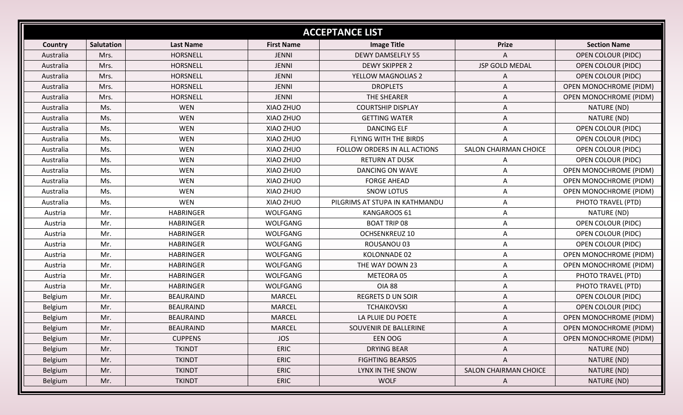| <b>ACCEPTANCE LIST</b> |                   |                  |                   |                                |                       |                               |  |  |
|------------------------|-------------------|------------------|-------------------|--------------------------------|-----------------------|-------------------------------|--|--|
| Country                | <b>Salutation</b> | <b>Last Name</b> | <b>First Name</b> | <b>Image Title</b>             | <b>Prize</b>          | <b>Section Name</b>           |  |  |
| Australia              | Mrs.              | HORSNELL         | <b>JENNI</b>      | <b>DEWY DAMSELFLY 55</b>       | A                     | <b>OPEN COLOUR (PIDC)</b>     |  |  |
| Australia              | Mrs.              | HORSNELL         | <b>JENNI</b>      | <b>DEWY SKIPPER 2</b>          | JSP GOLD MEDAL        | <b>OPEN COLOUR (PIDC)</b>     |  |  |
| Australia              | Mrs.              | HORSNELL         | <b>JENNI</b>      | YELLOW MAGNOLIAS 2             | Α                     | <b>OPEN COLOUR (PIDC)</b>     |  |  |
| Australia              | Mrs.              | HORSNELL         | <b>JENNI</b>      | <b>DROPLETS</b>                | A                     | OPEN MONOCHROME (PIDM)        |  |  |
| Australia              | Mrs.              | HORSNELL         | <b>JENNI</b>      | THE SHEARER                    | A                     | <b>OPEN MONOCHROME (PIDM)</b> |  |  |
| Australia              | Ms.               | <b>WEN</b>       | XIAO ZHUO         | <b>COURTSHIP DISPLAY</b>       | Α                     | NATURE (ND)                   |  |  |
| Australia              | Ms.               | <b>WEN</b>       | XIAO ZHUO         | <b>GETTING WATER</b>           | Α                     | NATURE (ND)                   |  |  |
| Australia              | Ms.               | <b>WEN</b>       | XIAO ZHUO         | <b>DANCING ELF</b>             | Α                     | <b>OPEN COLOUR (PIDC)</b>     |  |  |
| Australia              | Ms.               | <b>WEN</b>       | XIAO ZHUO         | FLYING WITH THE BIRDS          | Α                     | <b>OPEN COLOUR (PIDC)</b>     |  |  |
| Australia              | Ms.               | <b>WEN</b>       | XIAO ZHUO         | FOLLOW ORDERS IN ALL ACTIONS   | SALON CHAIRMAN CHOICE | <b>OPEN COLOUR (PIDC)</b>     |  |  |
| Australia              | Ms.               | <b>WEN</b>       | XIAO ZHUO         | <b>RETURN AT DUSK</b>          | A                     | <b>OPEN COLOUR (PIDC)</b>     |  |  |
| Australia              | Ms.               | <b>WEN</b>       | XIAO ZHUO         | DANCING ON WAVE                | A                     | <b>OPEN MONOCHROME (PIDM)</b> |  |  |
| Australia              | Ms.               | <b>WEN</b>       | XIAO ZHUO         | <b>FORGE AHEAD</b>             | Α                     | <b>OPEN MONOCHROME (PIDM)</b> |  |  |
| Australia              | Ms.               | <b>WEN</b>       | XIAO ZHUO         | <b>SNOW LOTUS</b>              | Α                     | <b>OPEN MONOCHROME (PIDM)</b> |  |  |
| Australia              | Ms.               | <b>WEN</b>       | XIAO ZHUO         | PILGRIMS AT STUPA IN KATHMANDU | Α                     | PHOTO TRAVEL (PTD)            |  |  |
| Austria                | Mr.               | <b>HABRINGER</b> | WOLFGANG          | KANGAROOS 61                   | Α                     | NATURE (ND)                   |  |  |
| Austria                | Mr.               | <b>HABRINGER</b> | WOLFGANG          | <b>BOAT TRIP 08</b>            | Α                     | OPEN COLOUR (PIDC)            |  |  |
| Austria                | Mr.               | <b>HABRINGER</b> | WOLFGANG          | <b>OCHSENKREUZ 10</b>          | Α                     | <b>OPEN COLOUR (PIDC)</b>     |  |  |
| Austria                | Mr.               | <b>HABRINGER</b> | <b>WOLFGANG</b>   | ROUSANOU 03                    | A                     | <b>OPEN COLOUR (PIDC)</b>     |  |  |
| Austria                | Mr.               | <b>HABRINGER</b> | WOLFGANG          | KOLONNADE 02                   | Α                     | OPEN MONOCHROME (PIDM)        |  |  |
| Austria                | Mr.               | <b>HABRINGER</b> | WOLFGANG          | THE WAY DOWN 23                | Α                     | OPEN MONOCHROME (PIDM)        |  |  |
| Austria                | Mr.               | <b>HABRINGER</b> | WOLFGANG          | METEORA 05                     | A                     | PHOTO TRAVEL (PTD)            |  |  |
| Austria                | Mr.               | <b>HABRINGER</b> | WOLFGANG          | <b>OIA 88</b>                  | Α                     | PHOTO TRAVEL (PTD)            |  |  |
| Belgium                | Mr.               | <b>BEAURAIND</b> | <b>MARCEL</b>     | <b>REGRETS D UN SOIR</b>       | A                     | <b>OPEN COLOUR (PIDC)</b>     |  |  |
| Belgium                | Mr.               | <b>BEAURAIND</b> | <b>MARCEL</b>     | <b>TCHAIKOVSKI</b>             | Α                     | <b>OPEN COLOUR (PIDC)</b>     |  |  |
| Belgium                | Mr.               | <b>BEAURAIND</b> | <b>MARCEL</b>     | LA PLUIE DU POETE              | Α                     | <b>OPEN MONOCHROME (PIDM)</b> |  |  |
| Belgium                | Mr.               | <b>BEAURAIND</b> | <b>MARCEL</b>     | SOUVENIR DE BALLERINE          | Α                     | OPEN MONOCHROME (PIDM)        |  |  |
| Belgium                | Mr.               | <b>CUPPENS</b>   | <b>JOS</b>        | EEN OOG                        | A                     | OPEN MONOCHROME (PIDM)        |  |  |
| Belgium                | Mr.               | <b>TKINDT</b>    | <b>ERIC</b>       | <b>DRYING BEAR</b>             | A                     | NATURE (ND)                   |  |  |
| Belgium                | Mr.               | <b>TKINDT</b>    | <b>ERIC</b>       | <b>FIGHTING BEARS05</b>        | Α                     | NATURE (ND)                   |  |  |
| Belgium                | Mr.               | <b>TKINDT</b>    | <b>ERIC</b>       | LYNX IN THE SNOW               | SALON CHAIRMAN CHOICE | NATURE (ND)                   |  |  |
| Belgium                | Mr.               | <b>TKINDT</b>    | ERIC              | <b>WOLF</b>                    | $\mathsf{A}$          | NATURE (ND)                   |  |  |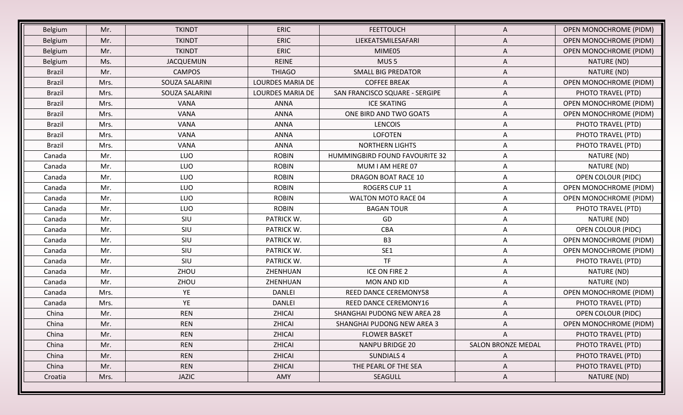| Belgium       | Mr.  | <b>TKINDT</b>     | <b>ERIC</b>             | <b>FEETTOUCH</b>               | A                  | <b>OPEN MONOCHROME (PIDM)</b> |
|---------------|------|-------------------|-------------------------|--------------------------------|--------------------|-------------------------------|
| Belgium       | Mr.  | <b>TKINDT</b>     | <b>ERIC</b>             | LIEKEATSMILESAFARI             | A                  | <b>OPEN MONOCHROME (PIDM)</b> |
| Belgium       | Mr.  | <b>TKINDT</b>     | <b>ERIC</b>             | MIME05                         | A                  | <b>OPEN MONOCHROME (PIDM)</b> |
| Belgium       | Ms.  | <b>JACQUEMIJN</b> | <b>REINE</b>            | MUS <sub>5</sub>               | A                  | NATURE (ND)                   |
| <b>Brazil</b> | Mr.  | <b>CAMPOS</b>     | <b>THIAGO</b>           | <b>SMALL BIG PREDATOR</b>      | A                  | NATURE (ND)                   |
| <b>Brazil</b> | Mrs. | SOUZA SALARINI    | <b>LOURDES MARIA DE</b> | <b>COFFEE BREAK</b>            | A                  | <b>OPEN MONOCHROME (PIDM)</b> |
| <b>Brazil</b> | Mrs. | SOUZA SALARINI    | <b>LOURDES MARIA DE</b> | SAN FRANCISCO SQUARE - SERGIPE | Α                  | PHOTO TRAVEL (PTD)            |
| <b>Brazil</b> | Mrs. | <b>VANA</b>       | <b>ANNA</b>             | <b>ICE SKATING</b>             | A                  | <b>OPEN MONOCHROME (PIDM)</b> |
| <b>Brazil</b> | Mrs. | <b>VANA</b>       | <b>ANNA</b>             | ONE BIRD AND TWO GOATS         | A                  | <b>OPEN MONOCHROME (PIDM)</b> |
| <b>Brazil</b> | Mrs. | <b>VANA</b>       | <b>ANNA</b>             | <b>LENCOIS</b>                 | A                  | PHOTO TRAVEL (PTD)            |
| <b>Brazil</b> | Mrs. | VANA              | <b>ANNA</b>             | <b>LOFOTEN</b>                 | A                  | PHOTO TRAVEL (PTD)            |
| <b>Brazil</b> | Mrs. | <b>VANA</b>       | ANNA                    | <b>NORTHERN LIGHTS</b>         | A                  | PHOTO TRAVEL (PTD)            |
| Canada        | Mr.  | LUO               | <b>ROBIN</b>            | HUMMINGBIRD FOUND FAVOURITE 32 | A                  | NATURE (ND)                   |
| Canada        | Mr.  | LUO               | <b>ROBIN</b>            | MUM I AM HERE 07               | Α                  | NATURE (ND)                   |
| Canada        | Mr.  | LUO               | <b>ROBIN</b>            | DRAGON BOAT RACE 10            | A                  | <b>OPEN COLOUR (PIDC)</b>     |
| Canada        | Mr.  | LUO               | <b>ROBIN</b>            | ROGERS CUP 11                  | A                  | <b>OPEN MONOCHROME (PIDM)</b> |
| Canada        | Mr.  | LUO               | <b>ROBIN</b>            | <b>WALTON MOTO RACE 04</b>     | A                  | <b>OPEN MONOCHROME (PIDM)</b> |
| Canada        | Mr.  | LUO               | <b>ROBIN</b>            | <b>BAGAN TOUR</b>              | A                  | PHOTO TRAVEL (PTD)            |
| Canada        | Mr.  | SIU               | PATRICK W.              | GD                             | Α                  | NATURE (ND)                   |
| Canada        | Mr.  | SIU               | PATRICK W.              | <b>CBA</b>                     | A                  | <b>OPEN COLOUR (PIDC)</b>     |
| Canada        | Mr.  | SIU               | PATRICK W.              | B <sub>3</sub>                 | Α                  | <b>OPEN MONOCHROME (PIDM)</b> |
| Canada        | Mr.  | SIU               | PATRICK W.              | SE1                            | A                  | <b>OPEN MONOCHROME (PIDM)</b> |
| Canada        | Mr.  | SIU               | PATRICK W.              | <b>TF</b>                      | A                  | PHOTO TRAVEL (PTD)            |
| Canada        | Mr.  | ZHOU              | ZHENHUAN                | ICE ON FIRE 2                  | A                  | NATURE (ND)                   |
| Canada        | Mr.  | ZHOU              | ZHENHUAN                | <b>MON AND KID</b>             | A                  | NATURE (ND)                   |
| Canada        | Mrs. | YE                | <b>DANLEI</b>           | REED DANCE CEREMONY58          | A                  | <b>OPEN MONOCHROME (PIDM)</b> |
| Canada        | Mrs. | YE                | <b>DANLEI</b>           | REED DANCE CEREMONY16          | A                  | PHOTO TRAVEL (PTD)            |
| China         | Mr.  | <b>REN</b>        | ZHICAI                  | SHANGHAI PUDONG NEW AREA 28    | A                  | <b>OPEN COLOUR (PIDC)</b>     |
| China         | Mr.  | <b>REN</b>        | ZHICAI                  | SHANGHAI PUDONG NEW AREA 3     | A                  | <b>OPEN MONOCHROME (PIDM)</b> |
| China         | Mr.  | <b>REN</b>        | ZHICAI                  | <b>FLOWER BASKET</b>           | A                  | PHOTO TRAVEL (PTD)            |
| China         | Mr.  | <b>REN</b>        | ZHICAI                  | <b>NANPU BRIDGE 20</b>         | SALON BRONZE MEDAL | PHOTO TRAVEL (PTD)            |
| China         | Mr.  | <b>REN</b>        | ZHICAI                  | <b>SUNDIALS 4</b>              | A                  | PHOTO TRAVEL (PTD)            |
| China         | Mr.  | <b>REN</b>        | ZHICAI                  | THE PEARL OF THE SEA           | A                  | PHOTO TRAVEL (PTD)            |
| Croatia       | Mrs. | <b>JAZIC</b>      | AMY                     | SEAGULL                        | A                  | NATURE (ND)                   |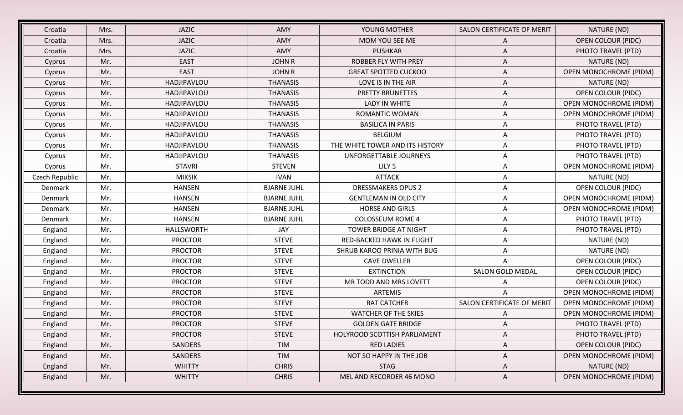| Croatia        | Mrs. | <b>JAZIC</b>      | AMY                | YOUNG MOTHER                     | SALON CERTIFICATE OF MERIT | NATURE (ND)                   |
|----------------|------|-------------------|--------------------|----------------------------------|----------------------------|-------------------------------|
| Croatia        | Mrs. | <b>JAZIC</b>      | AMY                | MOM YOU SEE ME                   | A                          | <b>OPEN COLOUR (PIDC)</b>     |
| Croatia        | Mrs. | <b>JAZIC</b>      | AMY                | <b>PUSHKAR</b>                   | A                          | PHOTO TRAVEL (PTD)            |
| Cyprus         | Mr.  | <b>EAST</b>       | <b>JOHN R</b>      | <b>ROBBER FLY WITH PREY</b>      | A                          | NATURE (ND)                   |
| Cyprus         | Mr.  | <b>EAST</b>       | <b>JOHN R</b>      | <b>GREAT SPOTTED CUCKOO</b>      | A                          | <b>OPEN MONOCHROME (PIDM)</b> |
| Cyprus         | Mr.  | HADJIPAVLOU       | <b>THANASIS</b>    | LOVE IS IN THE AIR               | A                          | NATURE (ND)                   |
| Cyprus         | Mr.  | HADJIPAVLOU       | <b>THANASIS</b>    | <b>PRETTY BRUNETTES</b>          | A                          | <b>OPEN COLOUR (PIDC)</b>     |
| Cyprus         | Mr.  | HADJIPAVLOU       | <b>THANASIS</b>    | LADY IN WHITE                    | Α                          | <b>OPEN MONOCHROME (PIDM)</b> |
| Cyprus         | Mr.  | HADJIPAVLOU       | <b>THANASIS</b>    | ROMANTIC WOMAN                   | A                          | <b>OPEN MONOCHROME (PIDM)</b> |
| Cyprus         | Mr.  | HADJIPAVLOU       | <b>THANASIS</b>    | <b>BASILICA IN PARIS</b>         | Α                          | PHOTO TRAVEL (PTD)            |
| Cyprus         | Mr.  | HADJIPAVLOU       | <b>THANASIS</b>    | <b>BELGIUM</b>                   | A                          | PHOTO TRAVEL (PTD)            |
| Cyprus         | Mr.  | HADJIPAVLOU       | <b>THANASIS</b>    | THE WHITE TOWER AND ITS HISTORY  | A                          | PHOTO TRAVEL (PTD)            |
| Cyprus         | Mr.  | HADJIPAVLOU       | <b>THANASIS</b>    | UNFORGETTABLE JOURNEYS           | A                          | PHOTO TRAVEL (PTD)            |
| Cyprus         | Mr.  | <b>STAVRI</b>     | <b>STEVEN</b>      | LILY <sub>5</sub>                | A                          | <b>OPEN MONOCHROME (PIDM)</b> |
| Czech Republic | Mr.  | <b>MIKSIK</b>     | <b>IVAN</b>        | <b>ATTACK</b>                    | A                          | NATURE (ND)                   |
| Denmark        | Mr.  | <b>HANSEN</b>     | <b>BJARNE JUHL</b> | <b>DRESSMAKERS OPUS 2</b>        | A                          | OPEN COLOUR (PIDC)            |
| Denmark        | Mr.  | <b>HANSEN</b>     | <b>BJARNE JUHL</b> | <b>GENTLEMAN IN OLD CITY</b>     | A                          | <b>OPEN MONOCHROME (PIDM)</b> |
| Denmark        | Mr.  | <b>HANSEN</b>     | <b>BJARNE JUHL</b> | <b>HORSE AND GIRLS</b>           | A                          | <b>OPEN MONOCHROME (PIDM)</b> |
| Denmark        | Mr.  | <b>HANSEN</b>     | <b>BJARNE JUHL</b> | <b>COLOSSEUM ROME 4</b>          | A                          | PHOTO TRAVEL (PTD)            |
| England        | Mr.  | <b>HALLSWORTH</b> | JAY                | TOWER BRIDGE AT NIGHT            | Α                          | PHOTO TRAVEL (PTD)            |
| England        | Mr.  | <b>PROCTOR</b>    | <b>STEVE</b>       | <b>RED-BACKED HAWK IN FLIGHT</b> | A                          | NATURE (ND)                   |
| England        | Mr.  | <b>PROCTOR</b>    | <b>STEVE</b>       | SHRUB KAROO PRINIA WITH BUG      | A                          | NATURE (ND)                   |
| England        | Mr.  | <b>PROCTOR</b>    | <b>STEVE</b>       | <b>CAVE DWELLER</b>              | A                          | <b>OPEN COLOUR (PIDC)</b>     |
| England        | Mr.  | <b>PROCTOR</b>    | <b>STEVE</b>       | <b>EXTINCTION</b>                | SALON GOLD MEDAL           | OPEN COLOUR (PIDC)            |
| England        | Mr.  | <b>PROCTOR</b>    | <b>STEVE</b>       | MR TODD AND MRS LOVETT           | A                          | <b>OPEN COLOUR (PIDC)</b>     |
| England        | Mr.  | <b>PROCTOR</b>    | <b>STEVE</b>       | <b>ARTEMIS</b>                   | A                          | <b>OPEN MONOCHROME (PIDM)</b> |
| England        | Mr.  | <b>PROCTOR</b>    | <b>STEVE</b>       | <b>RAT CATCHER</b>               | SALON CERTIFICATE OF MERIT | <b>OPEN MONOCHROME (PIDM)</b> |
| England        | Mr.  | <b>PROCTOR</b>    | <b>STEVE</b>       | <b>WATCHER OF THE SKIES</b>      | Α                          | <b>OPEN MONOCHROME (PIDM)</b> |
| England        | Mr.  | <b>PROCTOR</b>    | <b>STEVE</b>       | <b>GOLDEN GATE BRIDGE</b>        | A                          | PHOTO TRAVEL (PTD)            |
| England        | Mr.  | <b>PROCTOR</b>    | <b>STEVE</b>       | HOLYROOD SCOTTISH PARLIAMENT     | A                          | PHOTO TRAVEL (PTD)            |
| England        | Mr.  | SANDERS           | <b>TIM</b>         | <b>RED LADIES</b>                | A                          | <b>OPEN COLOUR (PIDC)</b>     |
| England        | Mr.  | SANDERS           | <b>TIM</b>         | NOT SO HAPPY IN THE JOB          | A                          | <b>OPEN MONOCHROME (PIDM)</b> |
| England        | Mr.  | <b>WHITTY</b>     | <b>CHRIS</b>       | <b>STAG</b>                      | A                          | NATURE (ND)                   |
| England        | Mr.  | <b>WHITTY</b>     | <b>CHRIS</b>       | MEL AND RECORDER 46 MONO         | A                          | <b>OPEN MONOCHROME (PIDM)</b> |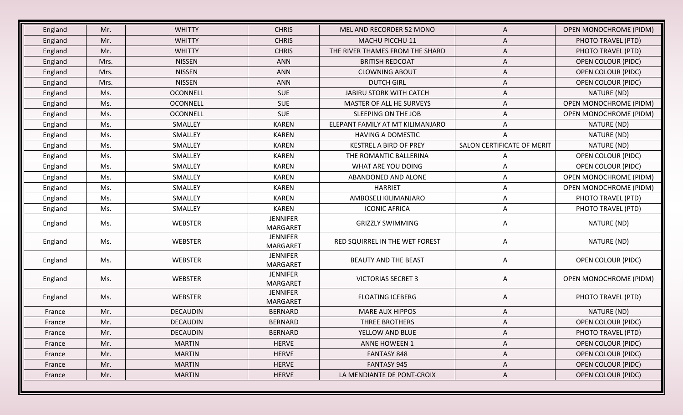| England | Mr.  | <b>WHITTY</b>   | <b>CHRIS</b>                       | MEL AND RECORDER 52 MONO         | A                          | <b>OPEN MONOCHROME (PIDM)</b> |
|---------|------|-----------------|------------------------------------|----------------------------------|----------------------------|-------------------------------|
| England | Mr.  | <b>WHITTY</b>   | <b>CHRIS</b>                       | MACHU PICCHU 11                  | A                          | PHOTO TRAVEL (PTD)            |
| England | Mr.  | <b>WHITTY</b>   | <b>CHRIS</b>                       | THE RIVER THAMES FROM THE SHARD  | A                          | PHOTO TRAVEL (PTD)            |
| England | Mrs. | <b>NISSEN</b>   | <b>ANN</b>                         | <b>BRITISH REDCOAT</b>           | A                          | <b>OPEN COLOUR (PIDC)</b>     |
| England | Mrs. | <b>NISSEN</b>   | <b>ANN</b>                         | <b>CLOWNING ABOUT</b>            | A                          | <b>OPEN COLOUR (PIDC)</b>     |
| England | Mrs. | <b>NISSEN</b>   | <b>ANN</b>                         | <b>DUTCH GIRL</b>                | A                          | <b>OPEN COLOUR (PIDC)</b>     |
| England | Ms.  | <b>OCONNELL</b> | <b>SUE</b>                         | <b>JABIRU STORK WITH CATCH</b>   | Α                          | NATURE (ND)                   |
| England | Ms.  | <b>OCONNELL</b> | <b>SUE</b>                         | MASTER OF ALL HE SURVEYS         | A                          | <b>OPEN MONOCHROME (PIDM)</b> |
| England | Ms.  | <b>OCONNELL</b> | <b>SUE</b>                         | <b>SLEEPING ON THE JOB</b>       | A                          | <b>OPEN MONOCHROME (PIDM)</b> |
| England | Ms.  | SMALLEY         | <b>KAREN</b>                       | ELEPANT FAMILY AT MT KILIMANJARO | A                          | NATURE (ND)                   |
| England | Ms.  | SMALLEY         | <b>KAREN</b>                       | <b>HAVING A DOMESTIC</b>         | A                          | NATURE (ND)                   |
| England | Ms.  | SMALLEY         | <b>KAREN</b>                       | <b>KESTREL A BIRD OF PREY</b>    | SALON CERTIFICATE OF MERIT | NATURE (ND)                   |
| England | Ms.  | SMALLEY         | <b>KAREN</b>                       | THE ROMANTIC BALLERINA           | A                          | <b>OPEN COLOUR (PIDC)</b>     |
| England | Ms.  | SMALLEY         | <b>KAREN</b>                       | WHAT ARE YOU DOING               | Α                          | <b>OPEN COLOUR (PIDC)</b>     |
| England | Ms.  | SMALLEY         | <b>KAREN</b>                       | ABANDONED AND ALONE              | A                          | OPEN MONOCHROME (PIDM)        |
| England | Ms.  | SMALLEY         | <b>KAREN</b>                       | <b>HARRIET</b>                   | A                          | <b>OPEN MONOCHROME (PIDM)</b> |
| England | Ms.  | SMALLEY         | <b>KAREN</b>                       | AMBOSELI KILIMANJARO             | A                          | PHOTO TRAVEL (PTD)            |
| England | Ms.  | SMALLEY         | <b>KAREN</b>                       | <b>ICONIC AFRICA</b>             | A                          | PHOTO TRAVEL (PTD)            |
| England | Ms.  | WEBSTER         | <b>JENNIFER</b><br><b>MARGARET</b> | <b>GRIZZLY SWIMMING</b>          | Α                          | NATURE (ND)                   |
| England | Ms.  | <b>WEBSTER</b>  | <b>JENNIFER</b><br><b>MARGARET</b> | RED SQUIRREL IN THE WET FOREST   | Α                          | NATURE (ND)                   |
| England | Ms.  | WEBSTER         | <b>JENNIFER</b><br><b>MARGARET</b> | <b>BEAUTY AND THE BEAST</b>      | Α                          | <b>OPEN COLOUR (PIDC)</b>     |
| England | Ms.  | <b>WEBSTER</b>  | <b>JENNIFER</b><br><b>MARGARET</b> | <b>VICTORIAS SECRET 3</b>        | A                          | <b>OPEN MONOCHROME (PIDM)</b> |
| England | Ms.  | <b>WEBSTER</b>  | <b>JENNIFER</b><br><b>MARGARET</b> | <b>FLOATING ICEBERG</b>          | Α                          | PHOTO TRAVEL (PTD)            |
| France  | Mr.  | <b>DECAUDIN</b> | <b>BERNARD</b>                     | <b>MARE AUX HIPPOS</b>           | A                          | NATURE (ND)                   |
| France  | Mr.  | <b>DECAUDIN</b> | BERNARD                            | THREE BROTHERS                   | Α                          | <b>OPEN COLOUR (PIDC)</b>     |
| France  | Mr.  | <b>DECAUDIN</b> | <b>BERNARD</b>                     | YELLOW AND BLUE                  | A                          | PHOTO TRAVEL (PTD)            |
| France  | Mr.  | <b>MARTIN</b>   | <b>HERVE</b>                       | <b>ANNE HOWEEN 1</b>             | A                          | OPEN COLOUR (PIDC)            |
| France  | Mr.  | <b>MARTIN</b>   | <b>HERVE</b>                       | <b>FANTASY 848</b>               | A                          | <b>OPEN COLOUR (PIDC)</b>     |
| France  | Mr.  | <b>MARTIN</b>   | <b>HERVE</b>                       | <b>FANTASY 945</b>               | A                          | <b>OPEN COLOUR (PIDC)</b>     |
| France  | Mr.  | <b>MARTIN</b>   | <b>HERVE</b>                       | LA MENDIANTE DE PONT-CROIX       | A                          | <b>OPEN COLOUR (PIDC)</b>     |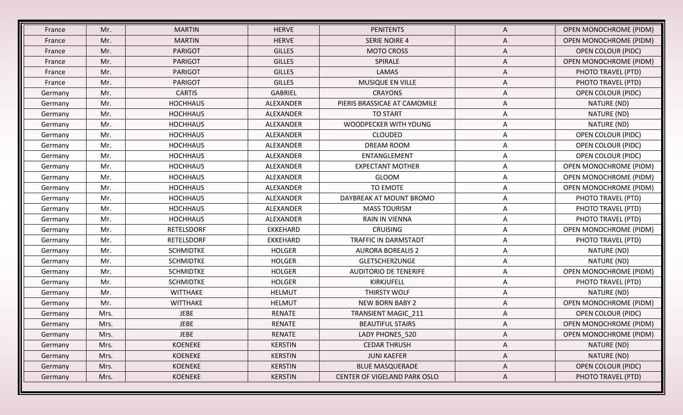| France  | Mr.  | <b>MARTIN</b>     | <b>HERVE</b>     | <b>PENITENTS</b>             | A | <b>OPEN MONOCHROME (PIDM)</b> |
|---------|------|-------------------|------------------|------------------------------|---|-------------------------------|
| France  | Mr.  | <b>MARTIN</b>     | <b>HERVE</b>     | <b>SERIE NOIRE 4</b>         | A | <b>OPEN MONOCHROME (PIDM)</b> |
| France  | Mr.  | <b>PARIGOT</b>    | <b>GILLES</b>    | <b>MOTO CROSS</b>            | A | <b>OPEN COLOUR (PIDC)</b>     |
| France  | Mr.  | <b>PARIGOT</b>    | <b>GILLES</b>    | SPIRALE                      | A | <b>OPEN MONOCHROME (PIDM)</b> |
| France  | Mr.  | <b>PARIGOT</b>    | <b>GILLES</b>    | LAMAS                        | A | PHOTO TRAVEL (PTD)            |
| France  | Mr.  | <b>PARIGOT</b>    | <b>GILLES</b>    | MUSIQUE EN VILLE             | A | PHOTO TRAVEL (PTD)            |
| Germany | Mr.  | <b>CARTIS</b>     | <b>GABRIEL</b>   | <b>CRAYONS</b>               | A | <b>OPEN COLOUR (PIDC)</b>     |
| Germany | Mr.  | <b>HOCHHAUS</b>   | ALEXANDER        | PIERIS BRASSICAE AT CAMOMILE | A | NATURE (ND)                   |
| Germany | Mr.  | <b>HOCHHAUS</b>   | ALEXANDER        | <b>TO START</b>              | A | NATURE (ND)                   |
| Germany | Mr.  | <b>HOCHHAUS</b>   | <b>ALEXANDER</b> | WOODPECKER WITH YOUNG        | A | NATURE (ND)                   |
| Germany | Mr.  | <b>HOCHHAUS</b>   | ALEXANDER        | <b>CLOUDED</b>               | A | <b>OPEN COLOUR (PIDC)</b>     |
| Germany | Mr.  | <b>HOCHHAUS</b>   | ALEXANDER        | <b>DREAM ROOM</b>            | A | OPEN COLOUR (PIDC)            |
| Germany | Mr.  | <b>HOCHHAUS</b>   | ALEXANDER        | ENTANGLEMENT                 | A | <b>OPEN COLOUR (PIDC)</b>     |
| Germany | Mr.  | <b>HOCHHAUS</b>   | ALEXANDER        | <b>EXPECTANT MOTHER</b>      | Α | <b>OPEN MONOCHROME (PIDM)</b> |
| Germany | Mr.  | <b>HOCHHAUS</b>   | <b>ALEXANDER</b> | GLOOM                        | A | <b>OPEN MONOCHROME (PIDM)</b> |
| Germany | Mr.  | <b>HOCHHAUS</b>   | ALEXANDER        | TO EMOTE                     | A | <b>OPEN MONOCHROME (PIDM)</b> |
| Germany | Mr.  | <b>HOCHHAUS</b>   | ALEXANDER        | DAYBREAK AT MOUNT BROMO      | A | PHOTO TRAVEL (PTD)            |
| Germany | Mr.  | <b>HOCHHAUS</b>   | ALEXANDER        | <b>MASS TOURISM</b>          | A | PHOTO TRAVEL (PTD)            |
| Germany | Mr.  | <b>HOCHHAUS</b>   | ALEXANDER        | <b>RAIN IN VIENNA</b>        | Α | PHOTO TRAVEL (PTD)            |
| Germany | Mr.  | <b>RETELSDORF</b> | <b>EKKEHARD</b>  | <b>CRUISING</b>              | A | <b>OPEN MONOCHROME (PIDM)</b> |
| Germany | Mr.  | <b>RETELSDORF</b> | <b>EKKEHARD</b>  | TRAFFIC IN DARMSTADT         | A | PHOTO TRAVEL (PTD)            |
| Germany | Mr.  | <b>SCHMIDTKE</b>  | <b>HOLGER</b>    | <b>AURORA BOREALIS 2</b>     | A | NATURE (ND)                   |
| Germany | Mr.  | <b>SCHMIDTKE</b>  | <b>HOLGER</b>    | <b>GLETSCHERZUNGE</b>        | A | NATURE (ND)                   |
| Germany | Mr.  | <b>SCHMIDTKE</b>  | <b>HOLGER</b>    | <b>AUDITORIO DE TENERIFE</b> | Α | <b>OPEN MONOCHROME (PIDM)</b> |
| Germany | Mr.  | <b>SCHMIDTKE</b>  | <b>HOLGER</b>    | <b>KIRKJUFELL</b>            | A | PHOTO TRAVEL (PTD)            |
| Germany | Mr.  | <b>WITTHAKE</b>   | <b>HELMUT</b>    | <b>THIRSTY WOLF</b>          | Α | NATURE (ND)                   |
| Germany | Mr.  | <b>WITTHAKE</b>   | <b>HELMUT</b>    | <b>NEW BORN BABY 2</b>       | A | <b>OPEN MONOCHROME (PIDM)</b> |
| Germany | Mrs. | <b>JEBE</b>       | <b>RENATE</b>    | TRANSIENT MAGIC_211          | A | <b>OPEN COLOUR (PIDC)</b>     |
| Germany | Mrs. | <b>JEBE</b>       | RENATE           | <b>BEAUTIFUL STAIRS</b>      | A | <b>OPEN MONOCHROME (PIDM)</b> |
| Germany | Mrs. | JEBE              | RENATE           | LADY PHONES_520              | A | <b>OPEN MONOCHROME (PIDM)</b> |
| Germany | Mrs. | <b>KOENEKE</b>    | <b>KERSTIN</b>   | <b>CEDAR THRUSH</b>          | A | NATURE (ND)                   |
| Germany | Mrs. | <b>KOENEKE</b>    | <b>KERSTIN</b>   | <b>JUNI KAEFER</b>           | Α | NATURE (ND)                   |
| Germany | Mrs. | <b>KOENEKE</b>    | <b>KERSTIN</b>   | <b>BLUE MASQUERADE</b>       | A | <b>OPEN COLOUR (PIDC)</b>     |
| Germany | Mrs. | <b>KOENEKE</b>    | <b>KERSTIN</b>   | CENTER OF VIGELAND PARK OSLO | A | PHOTO TRAVEL (PTD)            |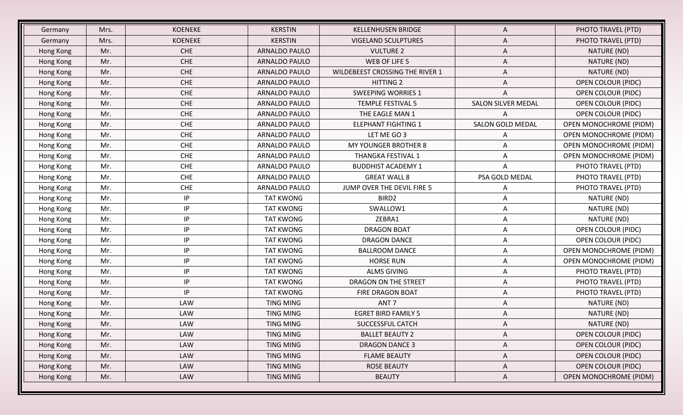| Germany   | Mrs. | <b>KOENEKE</b> | <b>KERSTIN</b>       | <b>KELLENHUSEN BRIDGE</b>       | A                         | PHOTO TRAVEL (PTD)            |
|-----------|------|----------------|----------------------|---------------------------------|---------------------------|-------------------------------|
| Germany   | Mrs. | <b>KOENEKE</b> | <b>KERSTIN</b>       | <b>VIGELAND SCULPTURES</b>      | A                         | PHOTO TRAVEL (PTD)            |
| Hong Kong | Mr.  | <b>CHE</b>     | <b>ARNALDO PAULO</b> | <b>VULTURE 2</b>                | A                         | NATURE (ND)                   |
| Hong Kong | Mr.  | <b>CHE</b>     | ARNALDO PAULO        | WEB OF LIFE 5                   | Α                         | NATURE (ND)                   |
| Hong Kong | Mr.  | <b>CHE</b>     | ARNALDO PAULO        | WILDEBEEST CROSSING THE RIVER 1 | A                         | NATURE (ND)                   |
| Hong Kong | Mr.  | <b>CHE</b>     | ARNALDO PAULO        | HITTING 2                       | A                         | <b>OPEN COLOUR (PIDC)</b>     |
| Hong Kong | Mr.  | <b>CHE</b>     | <b>ARNALDO PAULO</b> | <b>SWEEPING WORRIES 1</b>       | A                         | <b>OPEN COLOUR (PIDC)</b>     |
| Hong Kong | Mr.  | <b>CHE</b>     | ARNALDO PAULO        | <b>TEMPLE FESTIVAL 5</b>        | <b>SALON SILVER MEDAL</b> | <b>OPEN COLOUR (PIDC)</b>     |
| Hong Kong | Mr.  | <b>CHE</b>     | ARNALDO PAULO        | THE EAGLE MAN 1                 | A                         | <b>OPEN COLOUR (PIDC)</b>     |
| Hong Kong | Mr.  | <b>CHE</b>     | ARNALDO PAULO        | <b>ELEPHANT FIGHTING 1</b>      | SALON GOLD MEDAL          | <b>OPEN MONOCHROME (PIDM)</b> |
| Hong Kong | Mr.  | <b>CHE</b>     | ARNALDO PAULO        | LET ME GO 3                     | A                         | <b>OPEN MONOCHROME (PIDM)</b> |
| Hong Kong | Mr.  | CHE            | ARNALDO PAULO        | MY YOUNGER BROTHER 8            | A                         | <b>OPEN MONOCHROME (PIDM)</b> |
| Hong Kong | Mr.  | <b>CHE</b>     | ARNALDO PAULO        | THANGKA FESTIVAL 1              | A                         | OPEN MONOCHROME (PIDM)        |
| Hong Kong | Mr.  | <b>CHE</b>     | ARNALDO PAULO        | <b>BUDDHIST ACADEMY 1</b>       | A                         | PHOTO TRAVEL (PTD)            |
| Hong Kong | Mr.  | <b>CHE</b>     | ARNALDO PAULO        | <b>GREAT WALL 8</b>             | PSA GOLD MEDAL            | PHOTO TRAVEL (PTD)            |
| Hong Kong | Mr.  | <b>CHE</b>     | ARNALDO PAULO        | JUMP OVER THE DEVIL FIRE 5      | A                         | PHOTO TRAVEL (PTD)            |
| Hong Kong | Mr.  | IP             | <b>TAT KWONG</b>     | BIRD <sub>2</sub>               | A                         | NATURE (ND)                   |
| Hong Kong | Mr.  | IP             | <b>TAT KWONG</b>     | SWALLOW1                        | A                         | NATURE (ND)                   |
| Hong Kong | Mr.  | IP             | <b>TAT KWONG</b>     | ZEBRA1                          | A                         | NATURE (ND)                   |
| Hong Kong | Mr.  | IP             | <b>TAT KWONG</b>     | <b>DRAGON BOAT</b>              | A                         | <b>OPEN COLOUR (PIDC)</b>     |
| Hong Kong | Mr.  | IP             | <b>TAT KWONG</b>     | <b>DRAGON DANCE</b>             | Α                         | <b>OPEN COLOUR (PIDC)</b>     |
| Hong Kong | Mr.  | IP             | <b>TAT KWONG</b>     | <b>BALLROOM DANCE</b>           | Α                         | OPEN MONOCHROME (PIDM)        |
| Hong Kong | Mr.  | IP             | <b>TAT KWONG</b>     | <b>HORSE RUN</b>                | A                         | <b>OPEN MONOCHROME (PIDM)</b> |
| Hong Kong | Mr.  | IP             | <b>TAT KWONG</b>     | <b>ALMS GIVING</b>              | A                         | PHOTO TRAVEL (PTD)            |
| Hong Kong | Mr.  | IP             | <b>TAT KWONG</b>     | DRAGON ON THE STREET            | A                         | PHOTO TRAVEL (PTD)            |
| Hong Kong | Mr.  | IP             | <b>TAT KWONG</b>     | <b>FIRE DRAGON BOAT</b>         | A                         | PHOTO TRAVEL (PTD)            |
| Hong Kong | Mr.  | LAW            | <b>TING MING</b>     | ANT <sub>7</sub>                | A                         | NATURE (ND)                   |
| Hong Kong | Mr.  | LAW            | <b>TING MING</b>     | <b>EGRET BIRD FAMILY 5</b>      | A                         | NATURE (ND)                   |
| Hong Kong | Mr.  | LAW            | <b>TING MING</b>     | SUCCESSFUL CATCH                | A                         | NATURE (ND)                   |
| Hong Kong | Mr.  | LAW            | <b>TING MING</b>     | <b>BALLET BEAUTY 2</b>          | A                         | <b>OPEN COLOUR (PIDC)</b>     |
| Hong Kong | Mr.  | LAW            | <b>TING MING</b>     | <b>DRAGON DANCE 3</b>           | A                         | <b>OPEN COLOUR (PIDC)</b>     |
| Hong Kong | Mr.  | LAW            | <b>TING MING</b>     | <b>FLAME BEAUTY</b>             | A                         | <b>OPEN COLOUR (PIDC)</b>     |
| Hong Kong | Mr.  | LAW            | <b>TING MING</b>     | <b>ROSE BEAUTY</b>              | $\mathsf{A}$              | <b>OPEN COLOUR (PIDC)</b>     |
| Hong Kong | Mr.  | LAW            | <b>TING MING</b>     | <b>BEAUTY</b>                   | A                         | <b>OPEN MONOCHROME (PIDM)</b> |
|           |      |                |                      |                                 |                           |                               |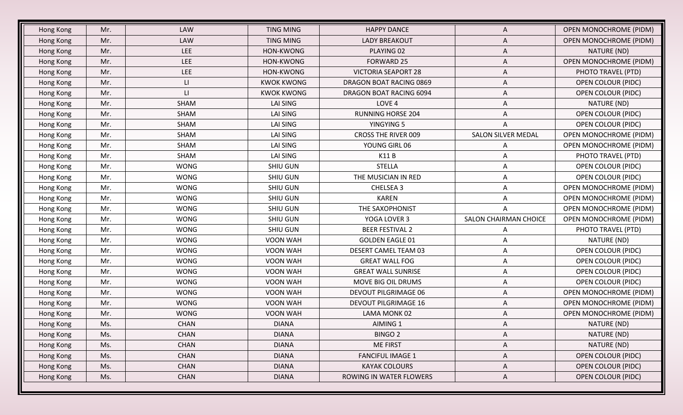|     |                                                                                  |                                                                                                                                                         |                                                                                                                                                                                                                                                 |                                                                                                                                                                                                                                                                                                                   | <b>OPEN MONOCHROME (PIDM)</b>                                               |
|-----|----------------------------------------------------------------------------------|---------------------------------------------------------------------------------------------------------------------------------------------------------|-------------------------------------------------------------------------------------------------------------------------------------------------------------------------------------------------------------------------------------------------|-------------------------------------------------------------------------------------------------------------------------------------------------------------------------------------------------------------------------------------------------------------------------------------------------------------------|-----------------------------------------------------------------------------|
|     |                                                                                  |                                                                                                                                                         |                                                                                                                                                                                                                                                 |                                                                                                                                                                                                                                                                                                                   | <b>OPEN MONOCHROME (PIDM)</b>                                               |
|     |                                                                                  |                                                                                                                                                         |                                                                                                                                                                                                                                                 |                                                                                                                                                                                                                                                                                                                   |                                                                             |
|     |                                                                                  |                                                                                                                                                         |                                                                                                                                                                                                                                                 |                                                                                                                                                                                                                                                                                                                   | NATURE (ND)                                                                 |
|     |                                                                                  |                                                                                                                                                         |                                                                                                                                                                                                                                                 |                                                                                                                                                                                                                                                                                                                   | <b>OPEN MONOCHROME (PIDM)</b>                                               |
|     |                                                                                  |                                                                                                                                                         |                                                                                                                                                                                                                                                 |                                                                                                                                                                                                                                                                                                                   | PHOTO TRAVEL (PTD)                                                          |
|     |                                                                                  |                                                                                                                                                         |                                                                                                                                                                                                                                                 |                                                                                                                                                                                                                                                                                                                   | OPEN COLOUR (PIDC)                                                          |
|     |                                                                                  |                                                                                                                                                         |                                                                                                                                                                                                                                                 |                                                                                                                                                                                                                                                                                                                   | <b>OPEN COLOUR (PIDC)</b>                                                   |
|     |                                                                                  |                                                                                                                                                         |                                                                                                                                                                                                                                                 |                                                                                                                                                                                                                                                                                                                   | NATURE (ND)                                                                 |
|     |                                                                                  |                                                                                                                                                         |                                                                                                                                                                                                                                                 |                                                                                                                                                                                                                                                                                                                   | <b>OPEN COLOUR (PIDC)</b>                                                   |
|     |                                                                                  |                                                                                                                                                         |                                                                                                                                                                                                                                                 | A                                                                                                                                                                                                                                                                                                                 | <b>OPEN COLOUR (PIDC)</b>                                                   |
| Mr. | SHAM                                                                             |                                                                                                                                                         |                                                                                                                                                                                                                                                 |                                                                                                                                                                                                                                                                                                                   | <b>OPEN MONOCHROME (PIDM)</b>                                               |
| Mr. | SHAM                                                                             | LAI SING                                                                                                                                                | YOUNG GIRL 06                                                                                                                                                                                                                                   | A                                                                                                                                                                                                                                                                                                                 | <b>OPEN MONOCHROME (PIDM)</b>                                               |
| Mr. | SHAM                                                                             | LAI SING                                                                                                                                                | <b>K11B</b>                                                                                                                                                                                                                                     | A                                                                                                                                                                                                                                                                                                                 | PHOTO TRAVEL (PTD)                                                          |
| Mr. | <b>WONG</b>                                                                      | <b>SHIU GUN</b>                                                                                                                                         | <b>STELLA</b>                                                                                                                                                                                                                                   | Α                                                                                                                                                                                                                                                                                                                 | OPEN COLOUR (PIDC)                                                          |
| Mr. | <b>WONG</b>                                                                      | SHIU GUN                                                                                                                                                | THE MUSICIAN IN RED                                                                                                                                                                                                                             | A                                                                                                                                                                                                                                                                                                                 | OPEN COLOUR (PIDC)                                                          |
| Mr. | <b>WONG</b>                                                                      | <b>SHIU GUN</b>                                                                                                                                         | CHELSEA 3                                                                                                                                                                                                                                       | A                                                                                                                                                                                                                                                                                                                 | <b>OPEN MONOCHROME (PIDM)</b>                                               |
| Mr. | <b>WONG</b>                                                                      | SHIU GUN                                                                                                                                                | <b>KAREN</b>                                                                                                                                                                                                                                    | A                                                                                                                                                                                                                                                                                                                 | <b>OPEN MONOCHROME (PIDM)</b>                                               |
| Mr. | <b>WONG</b>                                                                      | <b>SHIU GUN</b>                                                                                                                                         | THE SAXOPHONIST                                                                                                                                                                                                                                 | A                                                                                                                                                                                                                                                                                                                 | <b>OPEN MONOCHROME (PIDM)</b>                                               |
| Mr. | <b>WONG</b>                                                                      | <b>SHIU GUN</b>                                                                                                                                         | YOGA LOVER 3                                                                                                                                                                                                                                    | <b>SALON CHAIRMAN CHOICE</b>                                                                                                                                                                                                                                                                                      | <b>OPEN MONOCHROME (PIDM)</b>                                               |
| Mr. | <b>WONG</b>                                                                      | <b>SHIU GUN</b>                                                                                                                                         | <b>BEER FESTIVAL 2</b>                                                                                                                                                                                                                          | A                                                                                                                                                                                                                                                                                                                 | PHOTO TRAVEL (PTD)                                                          |
| Mr. | <b>WONG</b>                                                                      | VOON WAH                                                                                                                                                | <b>GOLDEN EAGLE 01</b>                                                                                                                                                                                                                          | Α                                                                                                                                                                                                                                                                                                                 | NATURE (ND)                                                                 |
| Mr. | <b>WONG</b>                                                                      | VOON WAH                                                                                                                                                | DESERT CAMEL TEAM 03                                                                                                                                                                                                                            | A                                                                                                                                                                                                                                                                                                                 | <b>OPEN COLOUR (PIDC)</b>                                                   |
| Mr. | <b>WONG</b>                                                                      | VOON WAH                                                                                                                                                | <b>GREAT WALL FOG</b>                                                                                                                                                                                                                           | A                                                                                                                                                                                                                                                                                                                 | <b>OPEN COLOUR (PIDC)</b>                                                   |
| Mr. | <b>WONG</b>                                                                      | VOON WAH                                                                                                                                                | <b>GREAT WALL SUNRISE</b>                                                                                                                                                                                                                       | A                                                                                                                                                                                                                                                                                                                 | OPEN COLOUR (PIDC)                                                          |
| Mr. | <b>WONG</b>                                                                      | VOON WAH                                                                                                                                                | MOVE BIG OIL DRUMS                                                                                                                                                                                                                              | Α                                                                                                                                                                                                                                                                                                                 | <b>OPEN COLOUR (PIDC)</b>                                                   |
| Mr. | <b>WONG</b>                                                                      | VOON WAH                                                                                                                                                | <b>DEVOUT PILGRIMAGE 06</b>                                                                                                                                                                                                                     | A                                                                                                                                                                                                                                                                                                                 | <b>OPEN MONOCHROME (PIDM)</b>                                               |
| Mr. | <b>WONG</b>                                                                      | VOON WAH                                                                                                                                                | <b>DEVOUT PILGRIMAGE 16</b>                                                                                                                                                                                                                     | A                                                                                                                                                                                                                                                                                                                 | <b>OPEN MONOCHROME (PIDM)</b>                                               |
| Mr. | <b>WONG</b>                                                                      | VOON WAH                                                                                                                                                | LAMA MONK 02                                                                                                                                                                                                                                    | Α                                                                                                                                                                                                                                                                                                                 | <b>OPEN MONOCHROME (PIDM)</b>                                               |
| Ms. | <b>CHAN</b>                                                                      | <b>DIANA</b>                                                                                                                                            | AIMING 1                                                                                                                                                                                                                                        | A                                                                                                                                                                                                                                                                                                                 | NATURE (ND)                                                                 |
| Ms. | <b>CHAN</b>                                                                      | <b>DIANA</b>                                                                                                                                            | <b>BINGO 2</b>                                                                                                                                                                                                                                  | A                                                                                                                                                                                                                                                                                                                 | NATURE (ND)                                                                 |
| Ms. | CHAN                                                                             | <b>DIANA</b>                                                                                                                                            | <b>ME FIRST</b>                                                                                                                                                                                                                                 | A                                                                                                                                                                                                                                                                                                                 | NATURE (ND)                                                                 |
|     |                                                                                  |                                                                                                                                                         |                                                                                                                                                                                                                                                 | Α                                                                                                                                                                                                                                                                                                                 | <b>OPEN COLOUR (PIDC)</b>                                                   |
|     |                                                                                  |                                                                                                                                                         |                                                                                                                                                                                                                                                 |                                                                                                                                                                                                                                                                                                                   | <b>OPEN COLOUR (PIDC)</b>                                                   |
| Ms. | <b>CHAN</b>                                                                      | <b>DIANA</b>                                                                                                                                            | ROWING IN WATER FLOWERS                                                                                                                                                                                                                         | A                                                                                                                                                                                                                                                                                                                 | <b>OPEN COLOUR (PIDC)</b>                                                   |
|     | Mr.<br>Mr.<br>Mr.<br>Mr.<br>Mr.<br>Mr.<br>Mr.<br>Mr.<br>Mr.<br>Mr.<br>Ms.<br>Ms. | <b>LAW</b><br>LAW<br><b>LEE</b><br><b>LEE</b><br><b>LEE</b><br>П<br>$\mathsf{L}\mathsf{L}$<br><b>SHAM</b><br>SHAM<br>SHAM<br><b>CHAN</b><br><b>CHAN</b> | <b>TING MING</b><br><b>TING MING</b><br><b>HON-KWONG</b><br><b>HON-KWONG</b><br><b>HON-KWONG</b><br><b>KWOK KWONG</b><br><b>KWOK KWONG</b><br><b>LAI SING</b><br><b>LAI SING</b><br><b>LAI SING</b><br>LAI SING<br><b>DIANA</b><br><b>DIANA</b> | <b>HAPPY DANCE</b><br>LADY BREAKOUT<br>PLAYING 02<br><b>FORWARD 25</b><br><b>VICTORIA SEAPORT 28</b><br>DRAGON BOAT RACING 0869<br>DRAGON BOAT RACING 6094<br>LOVE <sub>4</sub><br><b>RUNNING HORSE 204</b><br><b>YINGYING 5</b><br><b>CROSS THE RIVER 009</b><br><b>FANCIFUL IMAGE 1</b><br><b>KAYAK COLOURS</b> | A<br>A<br>A<br>A<br>A<br>Α<br>A<br>A<br>A<br><b>SALON SILVER MEDAL</b><br>A |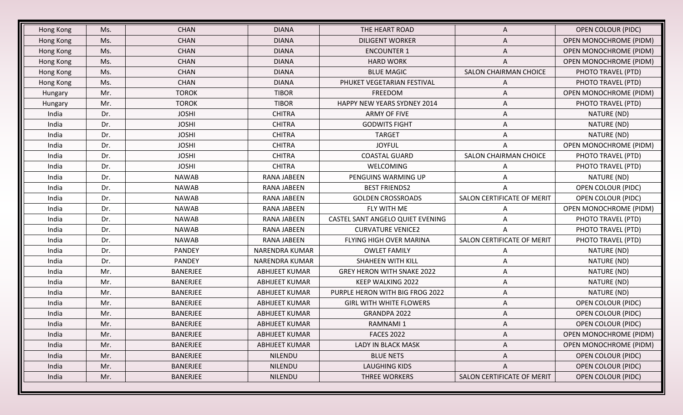| Hong Kong | Ms. | <b>CHAN</b>     | <b>DIANA</b>          | THE HEART ROAD                    | A                            | <b>OPEN COLOUR (PIDC)</b>     |
|-----------|-----|-----------------|-----------------------|-----------------------------------|------------------------------|-------------------------------|
| Hong Kong | Ms. | <b>CHAN</b>     | <b>DIANA</b>          | <b>DILIGENT WORKER</b>            | A                            | <b>OPEN MONOCHROME (PIDM)</b> |
| Hong Kong | Ms. | <b>CHAN</b>     | <b>DIANA</b>          | <b>ENCOUNTER 1</b>                | A                            | <b>OPEN MONOCHROME (PIDM)</b> |
| Hong Kong | Ms. | <b>CHAN</b>     | <b>DIANA</b>          | <b>HARD WORK</b>                  | A                            | <b>OPEN MONOCHROME (PIDM)</b> |
| Hong Kong | Ms. | <b>CHAN</b>     | <b>DIANA</b>          | <b>BLUE MAGIC</b>                 | <b>SALON CHAIRMAN CHOICE</b> | PHOTO TRAVEL (PTD)            |
| Hong Kong | Ms. | <b>CHAN</b>     | <b>DIANA</b>          | PHUKET VEGETARIAN FESTIVAL        | A                            | PHOTO TRAVEL (PTD)            |
| Hungary   | Mr. | <b>TOROK</b>    | <b>TIBOR</b>          | FREEDOM                           | A                            | <b>OPEN MONOCHROME (PIDM)</b> |
| Hungary   | Mr. | <b>TOROK</b>    | <b>TIBOR</b>          | HAPPY NEW YEARS SYDNEY 2014       | Α                            | PHOTO TRAVEL (PTD)            |
| India     | Dr. | <b>JOSHI</b>    | <b>CHITRA</b>         | <b>ARMY OF FIVE</b>               | A                            | NATURE (ND)                   |
| India     | Dr. | <b>JOSHI</b>    | <b>CHITRA</b>         | <b>GODWITS FIGHT</b>              | Α                            | NATURE (ND)                   |
| India     | Dr. | <b>JOSHI</b>    | <b>CHITRA</b>         | <b>TARGET</b>                     | A                            | NATURE (ND)                   |
| India     | Dr. | <b>JOSHI</b>    | <b>CHITRA</b>         | <b>JOYFUL</b>                     | A                            | <b>OPEN MONOCHROME (PIDM)</b> |
| India     | Dr. | <b>JOSHI</b>    | <b>CHITRA</b>         | <b>COASTAL GUARD</b>              | SALON CHAIRMAN CHOICE        | PHOTO TRAVEL (PTD)            |
| India     | Dr. | <b>JOSHI</b>    | <b>CHITRA</b>         | WELCOMING                         | A                            | PHOTO TRAVEL (PTD)            |
| India     | Dr. | <b>NAWAB</b>    | RANA JABEEN           | PENGUINS WARMING UP               | Α                            | NATURE (ND)                   |
| India     | Dr. | <b>NAWAB</b>    | RANA JABEEN           | <b>BEST FRIENDS2</b>              | A                            | <b>OPEN COLOUR (PIDC)</b>     |
| India     | Dr. | <b>NAWAB</b>    | RANA JABEEN           | <b>GOLDEN CROSSROADS</b>          | SALON CERTIFICATE OF MERIT   | <b>OPEN COLOUR (PIDC)</b>     |
| India     | Dr. | <b>NAWAB</b>    | RANA JABEEN           | FLY WITH ME                       | A                            | <b>OPEN MONOCHROME (PIDM)</b> |
| India     | Dr. | <b>NAWAB</b>    | RANA JABEEN           | CASTEL SANT ANGELO QUIET EVENING  | A                            | PHOTO TRAVEL (PTD)            |
| India     | Dr. | <b>NAWAB</b>    | RANA JABEEN           | <b>CURVATURE VENICE2</b>          | A                            | PHOTO TRAVEL (PTD)            |
| India     | Dr. | <b>NAWAB</b>    | <b>RANA JABEEN</b>    | <b>FLYING HIGH OVER MARINA</b>    | SALON CERTIFICATE OF MERIT   | PHOTO TRAVEL (PTD)            |
| India     | Dr. | <b>PANDEY</b>   | NARENDRA KUMAR        | <b>OWLET FAMILY</b>               | A                            | NATURE (ND)                   |
| India     | Dr. | <b>PANDEY</b>   | NARENDRA KUMAR        | SHAHEEN WITH KILL                 | A                            | NATURE (ND)                   |
| India     | Mr. | <b>BANERJEE</b> | <b>ABHIJEET KUMAR</b> | <b>GREY HERON WITH SNAKE 2022</b> | A                            | NATURE (ND)                   |
| India     | Mr. | <b>BANERJEE</b> | <b>ABHIJEET KUMAR</b> | <b>KEEP WALKING 2022</b>          | A                            | NATURE (ND)                   |
| India     | Mr. | <b>BANERJEE</b> | <b>ABHIJEET KUMAR</b> | PURPLE HERON WITH BIG FROG 2022   | Α                            | NATURE (ND)                   |
| India     | Mr. | <b>BANERJEE</b> | <b>ABHIJEET KUMAR</b> | <b>GIRL WITH WHITE FLOWERS</b>    | Α                            | <b>OPEN COLOUR (PIDC)</b>     |
| India     | Mr. | <b>BANERJEE</b> | <b>ABHIJEET KUMAR</b> | GRANDPA 2022                      | A                            | <b>OPEN COLOUR (PIDC)</b>     |
| India     | Mr. | <b>BANERJEE</b> | <b>ABHIJEET KUMAR</b> | RAMNAMI 1                         | A                            | <b>OPEN COLOUR (PIDC)</b>     |
| India     | Mr. | BANERJEE        | <b>ABHIJEET KUMAR</b> | <b>FACES 2022</b>                 | A                            | <b>OPEN MONOCHROME (PIDM)</b> |
| India     | Mr. | <b>BANERJEE</b> | <b>ABHIJEET KUMAR</b> | LADY IN BLACK MASK                | A                            | <b>OPEN MONOCHROME (PIDM)</b> |
| India     | Mr. | BANERJEE        | <b>NILENDU</b>        | <b>BLUE NETS</b>                  |                              | <b>OPEN COLOUR (PIDC)</b>     |
| India     | Mr. | BANERJEE        | <b>NILENDU</b>        | LAUGHING KIDS                     | A                            | <b>OPEN COLOUR (PIDC)</b>     |
| India     | Mr. | BANERJEE        | <b>NILENDU</b>        | <b>THREE WORKERS</b>              | SALON CERTIFICATE OF MERIT   | <b>OPEN COLOUR (PIDC)</b>     |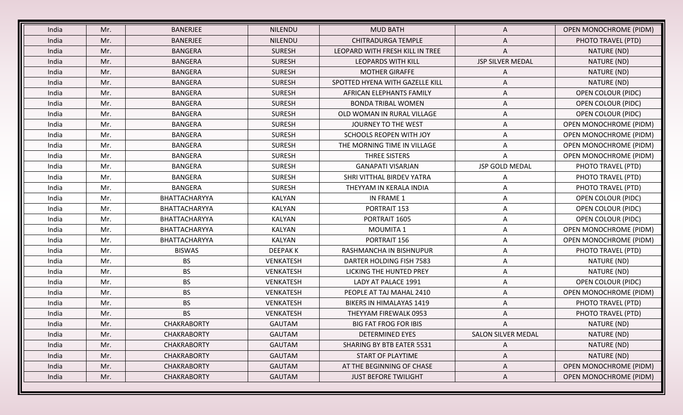| India | Mr. | <b>BANERJEE</b>    | <b>NILENDU</b>   | <b>MUD BATH</b>                 |                         | <b>OPEN MONOCHROME (PIDM)</b> |
|-------|-----|--------------------|------------------|---------------------------------|-------------------------|-------------------------------|
| India | Mr. | <b>BANERJEE</b>    | <b>NILENDU</b>   | <b>CHITRADURGA TEMPLE</b>       | A                       | PHOTO TRAVEL (PTD)            |
| India | Mr. | <b>BANGERA</b>     | <b>SURESH</b>    | LEOPARD WITH FRESH KILL IN TREE | A                       | NATURE (ND)                   |
| India | Mr. | <b>BANGERA</b>     | <b>SURESH</b>    | <b>LEOPARDS WITH KILL</b>       | <b>JSP SILVER MEDAL</b> | NATURE (ND)                   |
| India | Mr. | <b>BANGERA</b>     | <b>SURESH</b>    | <b>MOTHER GIRAFFE</b>           | A                       | NATURE (ND)                   |
| India | Mr. | <b>BANGERA</b>     | <b>SURESH</b>    | SPOTTED HYENA WITH GAZELLE KILL | Α                       | NATURE (ND)                   |
| India | Mr. | <b>BANGERA</b>     | <b>SURESH</b>    | AFRICAN ELEPHANTS FAMILY        | A                       | <b>OPEN COLOUR (PIDC)</b>     |
| India | Mr. | <b>BANGERA</b>     | <b>SURESH</b>    | <b>BONDA TRIBAL WOMEN</b>       | A                       | <b>OPEN COLOUR (PIDC)</b>     |
| India | Mr. | <b>BANGERA</b>     | <b>SURESH</b>    | OLD WOMAN IN RURAL VILLAGE      | A                       | <b>OPEN COLOUR (PIDC)</b>     |
| India | Mr. | <b>BANGERA</b>     | <b>SURESH</b>    | JOURNEY TO THE WEST             | A                       | <b>OPEN MONOCHROME (PIDM)</b> |
| India | Mr. | <b>BANGERA</b>     | <b>SURESH</b>    | SCHOOLS REOPEN WITH JOY         | A                       | <b>OPEN MONOCHROME (PIDM)</b> |
| India | Mr. | <b>BANGERA</b>     | <b>SURESH</b>    | THE MORNING TIME IN VILLAGE     | A                       | <b>OPEN MONOCHROME (PIDM)</b> |
| India | Mr. | <b>BANGERA</b>     | <b>SURESH</b>    | THREE SISTERS                   | A                       | <b>OPEN MONOCHROME (PIDM)</b> |
| India | Mr. | <b>BANGERA</b>     | <b>SURESH</b>    | <b>GANAPATI VISARJAN</b>        | JSP GOLD MEDAL          | PHOTO TRAVEL (PTD)            |
| India | Mr. | <b>BANGERA</b>     | <b>SURESH</b>    | SHRI VITTHAL BIRDEV YATRA       | Α                       | PHOTO TRAVEL (PTD)            |
| India | Mr. | <b>BANGERA</b>     | <b>SURESH</b>    | THEYYAM IN KERALA INDIA         | Α                       | PHOTO TRAVEL (PTD)            |
| India | Mr. | BHATTACHARYYA      | <b>KALYAN</b>    | IN FRAME 1                      | A                       | OPEN COLOUR (PIDC)            |
| India | Mr. | BHATTACHARYYA      | <b>KALYAN</b>    | PORTRAIT 153                    | A                       | <b>OPEN COLOUR (PIDC)</b>     |
| India | Mr. | BHATTACHARYYA      | <b>KALYAN</b>    | PORTRAIT 1605                   | Α                       | <b>OPEN COLOUR (PIDC)</b>     |
| India | Mr. | BHATTACHARYYA      | <b>KALYAN</b>    | <b>MOUMITA1</b>                 | Α                       | <b>OPEN MONOCHROME (PIDM)</b> |
| India | Mr. | BHATTACHARYYA      | <b>KALYAN</b>    | PORTRAIT 156                    | A                       | <b>OPEN MONOCHROME (PIDM)</b> |
| India | Mr. | <b>BISWAS</b>      | <b>DEEPAKK</b>   | RASHMANCHA IN BISHNUPUR         | A                       | PHOTO TRAVEL (PTD)            |
| India | Mr. | BS.                | <b>VENKATESH</b> | DARTER HOLDING FISH 7583        | A                       | NATURE (ND)                   |
| India | Mr. | <b>BS</b>          | <b>VENKATESH</b> | LICKING THE HUNTED PREY         | A                       | NATURE (ND)                   |
| India | Mr. | <b>BS</b>          | <b>VENKATESH</b> | LADY AT PALACE 1991             | A                       | <b>OPEN COLOUR (PIDC)</b>     |
| India | Mr. | <b>BS</b>          | <b>VENKATESH</b> | PEOPLE AT TAJ MAHAL 2410        | Α                       | <b>OPEN MONOCHROME (PIDM)</b> |
| India | Mr. | <b>BS</b>          | <b>VENKATESH</b> | <b>BIKERS IN HIMALAYAS 1419</b> | Α                       | PHOTO TRAVEL (PTD)            |
| India | Mr. | <b>BS</b>          | <b>VENKATESH</b> | THEYYAM FIREWALK 0953           | A                       | PHOTO TRAVEL (PTD)            |
| India | Mr. | <b>CHAKRABORTY</b> | GAUTAM           | <b>BIG FAT FROG FOR IBIS</b>    |                         | NATURE (ND)                   |
| India | Mr. | <b>CHAKRABORTY</b> | GAUTAM           | DETERMINED EYES                 | SALON SILVER MEDAL      | NATURE (ND)                   |
| India | Mr. | <b>CHAKRABORTY</b> | GAUTAM           | SHARING BY BTB EATER 5531       | A                       | NATURE (ND)                   |
| India | Mr. | <b>CHAKRABORTY</b> | <b>GAUTAM</b>    | START OF PLAYTIME               |                         | NATURE (ND)                   |
| India | Mr. | <b>CHAKRABORTY</b> | <b>GAUTAM</b>    | AT THE BEGINNING OF CHASE       | A                       | <b>OPEN MONOCHROME (PIDM)</b> |
| India | Mr. | <b>CHAKRABORTY</b> | GAUTAM           | <b>JUST BEFORE TWILIGHT</b>     | A                       | <b>OPEN MONOCHROME (PIDM)</b> |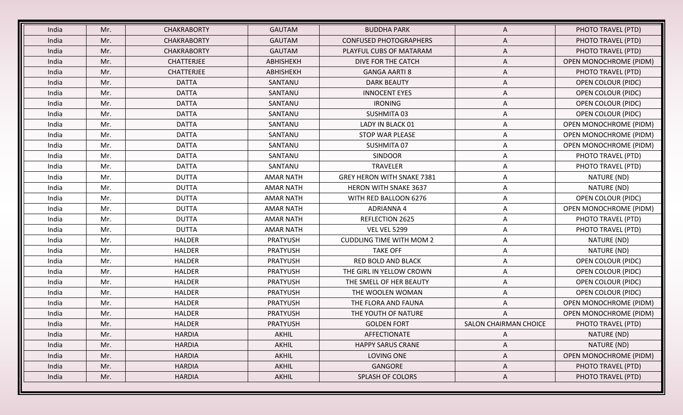| India | Mr. | <b>CHAKRABORTY</b> | <b>GAUTAM</b>    | <b>BUDDHA PARK</b>                | Α                     | PHOTO TRAVEL (PTD)            |
|-------|-----|--------------------|------------------|-----------------------------------|-----------------------|-------------------------------|
| India | Mr. | <b>CHAKRABORTY</b> | <b>GAUTAM</b>    | <b>CONFUSED PHOTOGRAPHERS</b>     | A                     | PHOTO TRAVEL (PTD)            |
| India | Mr. | <b>CHAKRABORTY</b> | <b>GAUTAM</b>    | PLAYFUL CUBS OF MATARAM           | A                     | PHOTO TRAVEL (PTD)            |
| India | Mr. | CHATTERJEE         | ABHISHEKH        | DIVE FOR THE CATCH                | A                     | <b>OPEN MONOCHROME (PIDM)</b> |
| India | Mr. | CHATTERJEE         | ABHISHEKH        | <b>GANGA AARTI 8</b>              | A                     | PHOTO TRAVEL (PTD)            |
| India | Mr. | <b>DATTA</b>       | SANTANU          | <b>DARK BEAUTY</b>                | A                     | <b>OPEN COLOUR (PIDC)</b>     |
| India | Mr. | <b>DATTA</b>       | SANTANU          | <b>INNOCENT EYES</b>              | A                     | <b>OPEN COLOUR (PIDC)</b>     |
| India | Mr. | <b>DATTA</b>       | SANTANU          | <b>IRONING</b>                    | Α                     | <b>OPEN COLOUR (PIDC)</b>     |
| India | Mr. | <b>DATTA</b>       | SANTANU          | SUSHMITA 03                       | Α                     | OPEN COLOUR (PIDC)            |
| India | Mr. | <b>DATTA</b>       | SANTANU          | LADY IN BLACK 01                  | Α                     | <b>OPEN MONOCHROME (PIDM)</b> |
| India | Mr. | <b>DATTA</b>       | SANTANU          | <b>STOP WAR PLEASE</b>            | A                     | <b>OPEN MONOCHROME (PIDM)</b> |
| India | Mr. | <b>DATTA</b>       | SANTANU          | SUSHMITA 07                       | Α                     | <b>OPEN MONOCHROME (PIDM)</b> |
| India | Mr. | <b>DATTA</b>       | SANTANU          | <b>SINDOOR</b>                    | A                     | PHOTO TRAVEL (PTD)            |
| India | Mr. | <b>DATTA</b>       | SANTANU          | <b>TRAVELER</b>                   | Α                     | PHOTO TRAVEL (PTD)            |
| India | Mr. | <b>DUTTA</b>       | <b>AMAR NATH</b> | <b>GREY HERON WITH SNAKE 7381</b> | Α                     | NATURE (ND)                   |
| India | Mr. | <b>DUTTA</b>       | <b>AMAR NATH</b> | <b>HERON WITH SNAKE 3637</b>      | A                     | NATURE (ND)                   |
| India | Mr. | <b>DUTTA</b>       | <b>AMAR NATH</b> | WITH RED BALLOON 6276             | A                     | <b>OPEN COLOUR (PIDC)</b>     |
| India | Mr. | <b>DUTTA</b>       | <b>AMAR NATH</b> | <b>ADRIANNA4</b>                  | A                     | <b>OPEN MONOCHROME (PIDM)</b> |
| India | Mr. | <b>DUTTA</b>       | <b>AMAR NATH</b> | REFLECTION 2625                   | A                     | PHOTO TRAVEL (PTD)            |
| India | Mr. | <b>DUTTA</b>       | <b>AMAR NATH</b> | <b>VEL VEL 5299</b>               | Α                     | PHOTO TRAVEL (PTD)            |
| India | Mr. | <b>HALDER</b>      | <b>PRATYUSH</b>  | <b>CUDDLING TIME WITH MOM 2</b>   | A                     | NATURE (ND)                   |
| India | Mr. | <b>HALDER</b>      | <b>PRATYUSH</b>  | <b>TAKE OFF</b>                   | A                     | NATURE (ND)                   |
| India | Mr. | <b>HALDER</b>      | <b>PRATYUSH</b>  | RED BOLD AND BLACK                | A                     | OPEN COLOUR (PIDC)            |
| India | Mr. | <b>HALDER</b>      | <b>PRATYUSH</b>  | THE GIRL IN YELLOW CROWN          | A                     | OPEN COLOUR (PIDC)            |
| India | Mr. | <b>HALDER</b>      | <b>PRATYUSH</b>  | THE SMELL OF HER BEAUTY           | A                     | <b>OPEN COLOUR (PIDC)</b>     |
| India | Mr. | <b>HALDER</b>      | PRATYUSH         | THE WOOLEN WOMAN                  | A                     | <b>OPEN COLOUR (PIDC)</b>     |
| India | Mr. | <b>HALDER</b>      | PRATYUSH         | THE FLORA AND FAUNA               | Α                     | <b>OPEN MONOCHROME (PIDM)</b> |
| India | Mr. | <b>HALDER</b>      | <b>PRATYUSH</b>  | THE YOUTH OF NATURE               | A                     | <b>OPEN MONOCHROME (PIDM)</b> |
| India | Mr. | <b>HALDER</b>      | PRATYUSH         | <b>GOLDEN FORT</b>                | SALON CHAIRMAN CHOICE | PHOTO TRAVEL (PTD)            |
| India | Mr. | <b>HARDIA</b>      | AKHIL            | AFFECTIONATE                      | A                     | NATURE (ND)                   |
| India | Mr. | <b>HARDIA</b>      | <b>AKHIL</b>     | <b>HAPPY SARUS CRANE</b>          | A                     | NATURE (ND)                   |
| India | Mr. | <b>HARDIA</b>      | AKHIL            | LOVING ONE                        | A                     | OPEN MONOCHROME (PIDM)        |
| India | Mr. | <b>HARDIA</b>      | AKHIL            | GANGORE                           | A                     | PHOTO TRAVEL (PTD)            |
| India | Mr. | <b>HARDIA</b>      | AKHIL            | <b>SPLASH OF COLORS</b>           | A                     | PHOTO TRAVEL (PTD)            |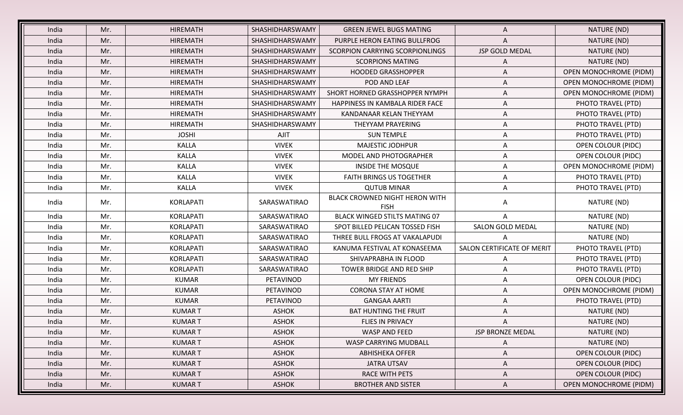| India | Mr. | <b>HIREMATH</b>  | SHASHIDHARSWAMY | <b>GREEN JEWEL BUGS MATING</b>                       | A                          | NATURE (ND)                   |
|-------|-----|------------------|-----------------|------------------------------------------------------|----------------------------|-------------------------------|
| India | Mr. | <b>HIREMATH</b>  | SHASHIDHARSWAMY | PURPLE HERON EATING BULLFROG                         | A                          | NATURE (ND)                   |
| India | Mr. | <b>HIREMATH</b>  | SHASHIDHARSWAMY | <b>SCORPION CARRYING SCORPIONLINGS</b>               | JSP GOLD MEDAL             | NATURE (ND)                   |
| India | Mr. | <b>HIREMATH</b>  | SHASHIDHARSWAMY | <b>SCORPIONS MATING</b>                              | A                          | NATURE (ND)                   |
| India | Mr. | <b>HIREMATH</b>  | SHASHIDHARSWAMY | <b>HOODED GRASSHOPPER</b>                            | A                          | <b>OPEN MONOCHROME (PIDM)</b> |
| India | Mr. | <b>HIREMATH</b>  | SHASHIDHARSWAMY | POD AND LEAF                                         | A                          | <b>OPEN MONOCHROME (PIDM)</b> |
| India | Mr. | <b>HIREMATH</b>  | SHASHIDHARSWAMY | SHORT HORNED GRASSHOPPER NYMPH                       | A                          | <b>OPEN MONOCHROME (PIDM)</b> |
| India | Mr. | <b>HIREMATH</b>  | SHASHIDHARSWAMY | HAPPINESS IN KAMBALA RIDER FACE                      | A                          | PHOTO TRAVEL (PTD)            |
| India | Mr. | <b>HIREMATH</b>  | SHASHIDHARSWAMY | KANDANAAR KELAN THEYYAM                              | Α                          | PHOTO TRAVEL (PTD)            |
| India | Mr. | <b>HIREMATH</b>  | SHASHIDHARSWAMY | THEYYAM PRAYERING                                    | A                          | PHOTO TRAVEL (PTD)            |
| India | Mr. | <b>JOSHI</b>     | <b>AJIT</b>     | <b>SUN TEMPLE</b>                                    | A                          | PHOTO TRAVEL (PTD)            |
| India | Mr. | <b>KALLA</b>     | <b>VIVEK</b>    | <b>MAJESTIC JODHPUR</b>                              | A                          | <b>OPEN COLOUR (PIDC)</b>     |
| India | Mr. | KALLA            | <b>VIVEK</b>    | MODEL AND PHOTOGRAPHER                               | A                          | <b>OPEN COLOUR (PIDC)</b>     |
| India | Mr. | <b>KALLA</b>     | <b>VIVEK</b>    | <b>INSIDE THE MOSQUE</b>                             | A                          | <b>OPEN MONOCHROME (PIDM)</b> |
| India | Mr. | KALLA            | <b>VIVEK</b>    | <b>FAITH BRINGS US TOGETHER</b>                      | A                          | PHOTO TRAVEL (PTD)            |
| India | Mr. | KALLA            | <b>VIVEK</b>    | <b>QUTUB MINAR</b>                                   | Α                          | PHOTO TRAVEL (PTD)            |
| India | Mr. | <b>KORLAPATI</b> | SARASWATIRAO    | <b>BLACK CROWNED NIGHT HERON WITH</b><br><b>FISH</b> | A                          | NATURE (ND)                   |
| India | Mr. | KORLAPATI        | SARASWATIRAO    | <b>BLACK WINGED STILTS MATING 07</b>                 | Α                          | NATURE (ND)                   |
| India | Mr. | KORLAPATI        | SARASWATIRAO    | SPOT BILLED PELICAN TOSSED FISH                      | SALON GOLD MEDAL           | NATURE (ND)                   |
| India | Mr. | <b>KORLAPATI</b> | SARASWATIRAO    | THREE BULL FROGS AT VAKALAPUDI                       | A                          | NATURE (ND)                   |
| India | Mr. | KORLAPATI        | SARASWATIRAO    | KANUMA FESTIVAL AT KONASEEMA                         | SALON CERTIFICATE OF MERIT | PHOTO TRAVEL (PTD)            |
| India | Mr. | <b>KORLAPATI</b> | SARASWATIRAO    | SHIVAPRABHA IN FLOOD                                 | A                          | PHOTO TRAVEL (PTD)            |
| India | Mr. | <b>KORLAPATI</b> | SARASWATIRAO    | TOWER BRIDGE AND RED SHIP                            | A                          | PHOTO TRAVEL (PTD)            |
| India | Mr. | <b>KUMAR</b>     | PETAVINOD       | <b>MY FRIENDS</b>                                    | A                          | <b>OPEN COLOUR (PIDC)</b>     |
| India | Mr. | <b>KUMAR</b>     | PETAVINOD       | <b>CORONA STAY AT HOME</b>                           | A                          | <b>OPEN MONOCHROME (PIDM)</b> |
| India | Mr. | <b>KUMAR</b>     | PETAVINOD       | <b>GANGAA AARTI</b>                                  | A                          | PHOTO TRAVEL (PTD)            |
| India | Mr. | <b>KUMART</b>    | <b>ASHOK</b>    | <b>BAT HUNTING THE FRUIT</b>                         | A                          | NATURE (ND)                   |
| India | Mr. | <b>KUMART</b>    | <b>ASHOK</b>    | FLIES IN PRIVACY                                     | A                          | NATURE (ND)                   |
| India | Mr. | <b>KUMART</b>    | <b>ASHOK</b>    | WASP AND FEED                                        | JSP BRONZE MEDAL           | NATURE (ND)                   |
| India | Mr. | <b>KUMART</b>    | <b>ASHOK</b>    | WASP CARRYING MUDBALL                                | A                          | NATURE (ND)                   |
| India | Mr. | <b>KUMART</b>    | <b>ASHOK</b>    | <b>ABHISHEKA OFFER</b>                               | Α                          | OPEN COLOUR (PIDC)            |
| India | Mr. | <b>KUMART</b>    | <b>ASHOK</b>    | JATRA UTSAV                                          | A                          | <b>OPEN COLOUR (PIDC)</b>     |
| India | Mr. | <b>KUMART</b>    | <b>ASHOK</b>    | RACE WITH PETS                                       | A                          | <b>OPEN COLOUR (PIDC)</b>     |
| India | Mr. | <b>KUMART</b>    | <b>ASHOK</b>    | <b>BROTHER AND SISTER</b>                            | A                          | <b>OPEN MONOCHROME (PIDM)</b> |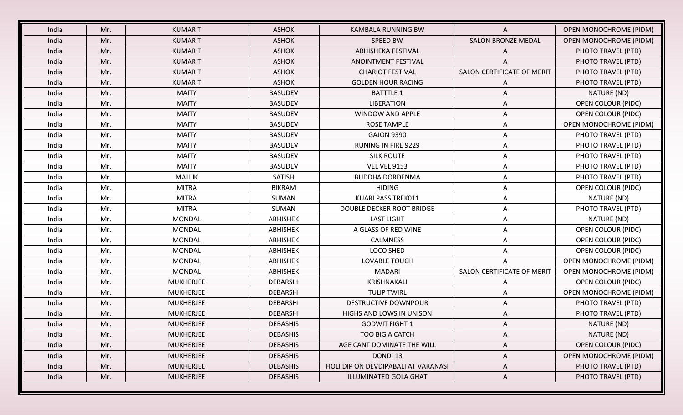| India | Mr. | <b>KUMART</b>    | <b>ASHOK</b>    | <b>KAMBALA RUNNING BW</b>           |                            | <b>OPEN MONOCHROME (PIDM)</b> |
|-------|-----|------------------|-----------------|-------------------------------------|----------------------------|-------------------------------|
| India | Mr. | <b>KUMART</b>    | <b>ASHOK</b>    | <b>SPEED BW</b>                     | <b>SALON BRONZE MEDAL</b>  | <b>OPEN MONOCHROME (PIDM)</b> |
| India | Mr. | <b>KUMART</b>    | <b>ASHOK</b>    | ABHISHEKA FESTIVAL                  | А                          | PHOTO TRAVEL (PTD)            |
| India | Mr. | <b>KUMART</b>    | <b>ASHOK</b>    | ANOINTMENT FESTIVAL                 | A                          | PHOTO TRAVEL (PTD)            |
| India | Mr. | <b>KUMART</b>    | <b>ASHOK</b>    | <b>CHARIOT FESTIVAL</b>             | SALON CERTIFICATE OF MERIT | PHOTO TRAVEL (PTD)            |
| India | Mr. | <b>KUMART</b>    | <b>ASHOK</b>    | <b>GOLDEN HOUR RACING</b>           | Α                          | PHOTO TRAVEL (PTD)            |
| India | Mr. | <b>MAITY</b>     | <b>BASUDEV</b>  | <b>BATTTLE 1</b>                    | A                          | NATURE (ND)                   |
| India | Mr. | <b>MAITY</b>     | <b>BASUDEV</b>  | <b>LIBERATION</b>                   | A                          | <b>OPEN COLOUR (PIDC)</b>     |
| India | Mr. | <b>MAITY</b>     | <b>BASUDEV</b>  | <b>WINDOW AND APPLE</b>             | A                          | <b>OPEN COLOUR (PIDC)</b>     |
| India | Mr. | <b>MAITY</b>     | <b>BASUDEV</b>  | <b>ROSE TAMPLE</b>                  | A                          | OPEN MONOCHROME (PIDM)        |
| India | Mr. | <b>MAITY</b>     | <b>BASUDEV</b>  | <b>GAJON 9390</b>                   | A                          | PHOTO TRAVEL (PTD)            |
| India | Mr. | <b>MAITY</b>     | <b>BASUDEV</b>  | <b>RUNING IN FIRE 9229</b>          | A                          | PHOTO TRAVEL (PTD)            |
| India | Mr. | <b>MAITY</b>     | <b>BASUDEV</b>  | <b>SILK ROUTE</b>                   | A                          | PHOTO TRAVEL (PTD)            |
| India | Mr. | <b>MAITY</b>     | <b>BASUDEV</b>  | <b>VEL VEL 9153</b>                 | A                          | PHOTO TRAVEL (PTD)            |
| India | Mr. | <b>MALLIK</b>    | <b>SATISH</b>   | <b>BUDDHA DORDENMA</b>              | Α                          | PHOTO TRAVEL (PTD)            |
| India | Mr. | <b>MITRA</b>     | <b>BIKRAM</b>   | <b>HIDING</b>                       | Α                          | <b>OPEN COLOUR (PIDC)</b>     |
| India | Mr. | <b>MITRA</b>     | SUMAN           | KUARI PASS TREK011                  | A                          | NATURE (ND)                   |
| India | Mr. | <b>MITRA</b>     | SUMAN           | <b>DOUBLE DECKER ROOT BRIDGE</b>    | Α                          | PHOTO TRAVEL (PTD)            |
| India | Mr. | <b>MONDAL</b>    | <b>ABHISHEK</b> | <b>LAST LIGHT</b>                   | Α                          | NATURE (ND)                   |
| India | Mr. | <b>MONDAL</b>    | <b>ABHISHEK</b> | A GLASS OF RED WINE                 | Α                          | <b>OPEN COLOUR (PIDC)</b>     |
| India | Mr. | <b>MONDAL</b>    | <b>ABHISHEK</b> | <b>CALMNESS</b>                     | $\mathsf{A}$               | <b>OPEN COLOUR (PIDC)</b>     |
| India | Mr. | <b>MONDAL</b>    | <b>ABHISHEK</b> | LOCO SHED                           | A                          | <b>OPEN COLOUR (PIDC)</b>     |
| India | Mr. | <b>MONDAL</b>    | ABHISHEK        | LOVABLE TOUCH                       | A                          | <b>OPEN MONOCHROME (PIDM)</b> |
| India | Mr. | <b>MONDAL</b>    | ABHISHEK        | <b>MADARI</b>                       | SALON CERTIFICATE OF MERIT | <b>OPEN MONOCHROME (PIDM)</b> |
| India | Mr. | <b>MUKHERJEE</b> | <b>DEBARSHI</b> | KRISHNAKALI                         | A                          | <b>OPEN COLOUR (PIDC)</b>     |
| India | Mr. | <b>MUKHERJEE</b> | <b>DEBARSHI</b> | <b>TULIP TWIRL</b>                  | Α                          | <b>OPEN MONOCHROME (PIDM)</b> |
| India | Mr. | <b>MUKHERJEE</b> | <b>DEBARSHI</b> | <b>DESTRUCTIVE DOWNPOUR</b>         | Α                          | PHOTO TRAVEL (PTD)            |
| India | Mr. | <b>MUKHERJEE</b> | <b>DEBARSHI</b> | HIGHS AND LOWS IN UNISON            | A                          | PHOTO TRAVEL (PTD)            |
| India | Mr. | <b>MUKHERJEE</b> | <b>DEBASHIS</b> | <b>GODWIT FIGHT 1</b>               | A                          | NATURE (ND)                   |
| India | Mr. | <b>MUKHERJEE</b> | <b>DEBASHIS</b> | <b>TOO BIG A CATCH</b>              | A                          | NATURE (ND)                   |
| India | Mr. | <b>MUKHERJEE</b> | <b>DEBASHIS</b> | AGE CANT DOMINATE THE WILL          | A                          | <b>OPEN COLOUR (PIDC)</b>     |
| India | Mr. | <b>MUKHERJEE</b> | <b>DEBASHIS</b> | DONDI 13                            | A                          | <b>OPEN MONOCHROME (PIDM)</b> |
| India | Mr. | <b>MUKHERJEE</b> | <b>DEBASHIS</b> | HOLI DIP ON DEVDIPABALI AT VARANASI | A                          | PHOTO TRAVEL (PTD)            |
| India | Mr. | <b>MUKHERJEE</b> | <b>DEBASHIS</b> | ILLUMINATED GOLA GHAT               | A                          | PHOTO TRAVEL (PTD)            |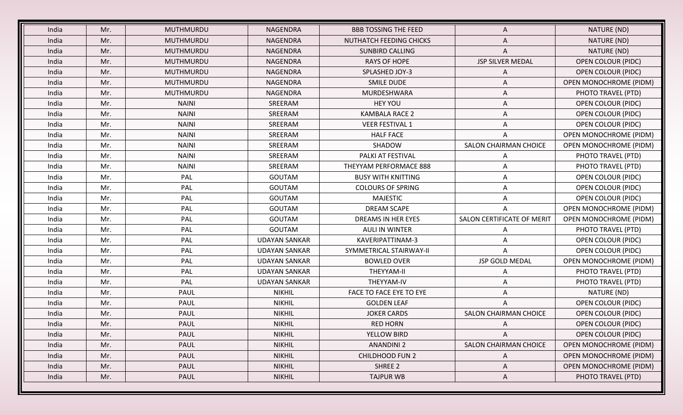| India | Mr. | <b>MUTHMURDU</b> | <b>NAGENDRA</b>      | <b>BBB TOSSING THE FEED</b> | A                            | NATURE (ND)                   |
|-------|-----|------------------|----------------------|-----------------------------|------------------------------|-------------------------------|
| India | Mr. | <b>MUTHMURDU</b> | NAGENDRA             | NUTHATCH FEEDING CHICKS     | A                            | NATURE (ND)                   |
| India | Mr. | <b>MUTHMURDU</b> | <b>NAGENDRA</b>      | <b>SUNBIRD CALLING</b>      | A                            | NATURE (ND)                   |
| India | Mr. | <b>MUTHMURDU</b> | NAGENDRA             | <b>RAYS OF HOPE</b>         | JSP SILVER MEDAL             | <b>OPEN COLOUR (PIDC)</b>     |
| India | Mr. | MUTHMURDU        | <b>NAGENDRA</b>      | SPLASHED JOY-3              | A                            | <b>OPEN COLOUR (PIDC)</b>     |
| India | Mr. | MUTHMURDU        | <b>NAGENDRA</b>      | <b>SMILE DUDE</b>           | A                            | <b>OPEN MONOCHROME (PIDM)</b> |
| India | Mr. | MUTHMURDU        | NAGENDRA             | MURDESHWARA                 | A                            | PHOTO TRAVEL (PTD)            |
| India | Mr. | <b>NAINI</b>     | SREERAM              | <b>HEY YOU</b>              | A                            | <b>OPEN COLOUR (PIDC)</b>     |
| India | Mr. | <b>NAINI</b>     | SREERAM              | <b>KAMBALA RACE 2</b>       | A                            | <b>OPEN COLOUR (PIDC)</b>     |
| India | Mr. | <b>NAINI</b>     | SREERAM              | <b>VEER FESTIVAL 1</b>      | A                            | <b>OPEN COLOUR (PIDC)</b>     |
| India | Mr. | <b>NAINI</b>     | SREERAM              | <b>HALF FACE</b>            | A                            | <b>OPEN MONOCHROME (PIDM)</b> |
| India | Mr. | <b>NAINI</b>     | SREERAM              | SHADOW                      | <b>SALON CHAIRMAN CHOICE</b> | <b>OPEN MONOCHROME (PIDM)</b> |
| India | Mr. | <b>NAINI</b>     | SREERAM              | PALKI AT FESTIVAL           | A                            | PHOTO TRAVEL (PTD)            |
| India | Mr. | <b>NAINI</b>     | SREERAM              | THEYYAM PERFORMACE 888      | A                            | PHOTO TRAVEL (PTD)            |
| India | Mr. | PAL              | <b>GOUTAM</b>        | <b>BUSY WITH KNITTING</b>   | A                            | <b>OPEN COLOUR (PIDC)</b>     |
| India | Mr. | PAL              | <b>GOUTAM</b>        | <b>COLOURS OF SPRING</b>    | A                            | OPEN COLOUR (PIDC)            |
| India | Mr. | <b>PAL</b>       | <b>GOUTAM</b>        | <b>MAJESTIC</b>             | A                            | <b>OPEN COLOUR (PIDC)</b>     |
| India | Mr. | PAL              | <b>GOUTAM</b>        | <b>DREAM SCAPE</b>          | A                            | <b>OPEN MONOCHROME (PIDM)</b> |
| India | Mr. | PAL              | <b>GOUTAM</b>        | DREAMS IN HER EYES          | SALON CERTIFICATE OF MERIT   | <b>OPEN MONOCHROME (PIDM)</b> |
| India | Mr. | PAL              | <b>GOUTAM</b>        | <b>AULI IN WINTER</b>       | A                            | PHOTO TRAVEL (PTD)            |
| India | Mr. | PAL              | <b>UDAYAN SANKAR</b> | KAVERIPATTINAM-3            | A                            | <b>OPEN COLOUR (PIDC)</b>     |
| India | Mr. | PAL              | <b>UDAYAN SANKAR</b> | SYMMETRICAL STAIRWAY-II     | A                            | <b>OPEN COLOUR (PIDC)</b>     |
| India | Mr. | PAL              | <b>UDAYAN SANKAR</b> | <b>BOWLED OVER</b>          | JSP GOLD MEDAL               | <b>OPEN MONOCHROME (PIDM)</b> |
| India | Mr. | <b>PAL</b>       | <b>UDAYAN SANKAR</b> | THEYYAM-II                  | Α                            | PHOTO TRAVEL (PTD)            |
| India | Mr. | PAL              | <b>UDAYAN SANKAR</b> | THEYYAM-IV                  | A                            | PHOTO TRAVEL (PTD)            |
| India | Mr. | PAUL             | <b>NIKHIL</b>        | FACE TO FACE EYE TO EYE     | A                            | NATURE (ND)                   |
| India | Mr. | PAUL             | <b>NIKHIL</b>        | <b>GOLDEN LEAF</b>          | A                            | <b>OPEN COLOUR (PIDC)</b>     |
| India | Mr. | PAUL             | <b>NIKHIL</b>        | <b>JOKER CARDS</b>          | <b>SALON CHAIRMAN CHOICE</b> | <b>OPEN COLOUR (PIDC)</b>     |
| India | Mr. | PAUL             | <b>NIKHIL</b>        | <b>RED HORN</b>             |                              | <b>OPEN COLOUR (PIDC)</b>     |
| India | Mr. | PAUL             | <b>NIKHIL</b>        | YELLOW BIRD                 | A                            | <b>OPEN COLOUR (PIDC)</b>     |
| India | Mr. | PAUL             | <b>NIKHIL</b>        | <b>ANANDINI 2</b>           | SALON CHAIRMAN CHOICE        | <b>OPEN MONOCHROME (PIDM)</b> |
| India | Mr. | PAUL             | <b>NIKHIL</b>        | <b>CHILDHOOD FUN 2</b>      | A                            | <b>OPEN MONOCHROME (PIDM)</b> |
| India | Mr. | PAUL             | <b>NIKHIL</b>        | SHREE 2                     | Α                            | <b>OPEN MONOCHROME (PIDM)</b> |
| India | Mr. | PAUL             | <b>NIKHIL</b>        | <b>TAJPUR WB</b>            | A                            | PHOTO TRAVEL (PTD)            |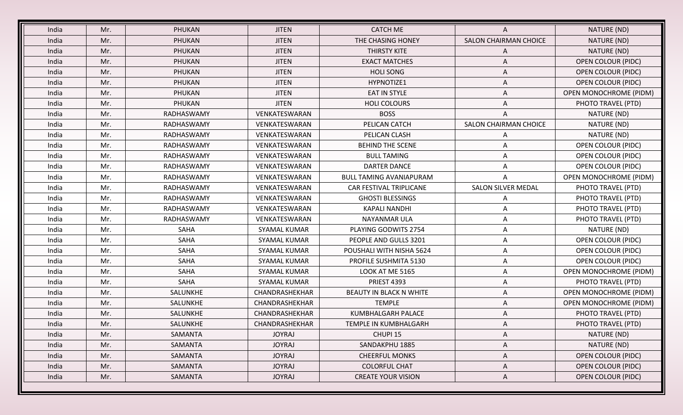| India | Mr. | PHUKAN        | <b>JITEN</b>        | <b>CATCH ME</b>                |                              | NATURE (ND)                   |
|-------|-----|---------------|---------------------|--------------------------------|------------------------------|-------------------------------|
| India | Mr. | PHUKAN        | <b>JITEN</b>        | THE CHASING HONEY              | <b>SALON CHAIRMAN CHOICE</b> | NATURE (ND)                   |
| India | Mr. | PHUKAN        | <b>JITEN</b>        | THIRSTY KITE                   | A                            | NATURE (ND)                   |
| India | Mr. | <b>PHUKAN</b> | <b>JITEN</b>        | <b>EXACT MATCHES</b>           | A                            | <b>OPEN COLOUR (PIDC)</b>     |
| India | Mr. | PHUKAN        | <b>JITEN</b>        | <b>HOLI SONG</b>               | A                            | <b>OPEN COLOUR (PIDC)</b>     |
| India | Mr. | PHUKAN        | <b>JITEN</b>        | HYPNOTIZE1                     | Α                            | <b>OPEN COLOUR (PIDC)</b>     |
| India | Mr. | PHUKAN        | <b>JITEN</b>        | EAT IN STYLE                   | A                            | <b>OPEN MONOCHROME (PIDM)</b> |
| India | Mr. | PHUKAN        | <b>JITEN</b>        | <b>HOLI COLOURS</b>            | A                            | PHOTO TRAVEL (PTD)            |
| India | Mr. | RADHASWAMY    | VENKATESWARAN       | <b>BOSS</b>                    | Α                            | NATURE (ND)                   |
| India | Mr. | RADHASWAMY    | VENKATESWARAN       | PELICAN CATCH                  | SALON CHAIRMAN CHOICE        | NATURE (ND)                   |
| India | Mr. | RADHASWAMY    | VENKATESWARAN       | PELICAN CLASH                  | A                            | NATURE (ND)                   |
| India | Mr. | RADHASWAMY    | VENKATESWARAN       | <b>BEHIND THE SCENE</b>        | A                            | <b>OPEN COLOUR (PIDC)</b>     |
| India | Mr. | RADHASWAMY    | VENKATESWARAN       | <b>BULL TAMING</b>             | A                            | <b>OPEN COLOUR (PIDC)</b>     |
| India | Mr. | RADHASWAMY    | VENKATESWARAN       | <b>DARTER DANCE</b>            | A                            | <b>OPEN COLOUR (PIDC)</b>     |
| India | Mr. | RADHASWAMY    | VENKATESWARAN       | <b>BULL TAMING AVANIAPURAM</b> | A                            | OPEN MONOCHROME (PIDM)        |
| India | Mr. | RADHASWAMY    | VENKATESWARAN       | <b>CAR FESTIVAL TRIPLICANE</b> | <b>SALON SILVER MEDAL</b>    | PHOTO TRAVEL (PTD)            |
| India | Mr. | RADHASWAMY    | VENKATESWARAN       | <b>GHOSTI BLESSINGS</b>        | A                            | PHOTO TRAVEL (PTD)            |
| India | Mr. | RADHASWAMY    | VENKATESWARAN       | <b>KAPALI NANDHI</b>           | A                            | PHOTO TRAVEL (PTD)            |
| India | Mr. | RADHASWAMY    | VENKATESWARAN       | NAYANMAR ULA                   | A                            | PHOTO TRAVEL (PTD)            |
| India | Mr. | SAHA          | <b>SYAMAL KUMAR</b> | PLAYING GODWITS 2754           | Α                            | NATURE (ND)                   |
| India | Mr. | SAHA          | <b>SYAMAL KUMAR</b> | PEOPLE AND GULLS 3201          | A                            | OPEN COLOUR (PIDC)            |
| India | Mr. | SAHA          | <b>SYAMAL KUMAR</b> | POUSHALI WITH NISHA 5624       | A                            | <b>OPEN COLOUR (PIDC)</b>     |
| India | Mr. | SAHA          | <b>SYAMAL KUMAR</b> | PROFILE SUSHMITA 5130          | A                            | OPEN COLOUR (PIDC)            |
| India | Mr. | SAHA          | <b>SYAMAL KUMAR</b> | LOOK AT ME 5165                | A                            | <b>OPEN MONOCHROME (PIDM)</b> |
| India | Mr. | SAHA          | <b>SYAMAL KUMAR</b> | <b>PRIEST 4393</b>             | A                            | PHOTO TRAVEL (PTD)            |
| India | Mr. | SALUNKHE      | CHANDRASHEKHAR      | BEAUTY IN BLACK N WHITE        | Α                            | <b>OPEN MONOCHROME (PIDM)</b> |
| India | Mr. | SALUNKHE      | CHANDRASHEKHAR      | <b>TEMPLE</b>                  | Α                            | <b>OPEN MONOCHROME (PIDM)</b> |
| India | Mr. | SALUNKHE      | CHANDRASHEKHAR      | KUMBHALGARH PALACE             | A                            | PHOTO TRAVEL (PTD)            |
| India | Mr. | SALUNKHE      | CHANDRASHEKHAR      | TEMPLE IN KUMBHALGARH          | A                            | PHOTO TRAVEL (PTD)            |
| India | Mr. | SAMANTA       | <b>JOYRAJ</b>       | CHUPI 15                       | A                            | NATURE (ND)                   |
| India | Mr. | SAMANTA       | <b>JOYRAJ</b>       | SANDAKPHU 1885                 | A                            | NATURE (ND)                   |
| India | Mr. | SAMANTA       | <b>JOYRAJ</b>       | <b>CHEERFUL MONKS</b>          | A                            | <b>OPEN COLOUR (PIDC)</b>     |
| India | Mr. | SAMANTA       | <b>JOYRAJ</b>       | <b>COLORFUL CHAT</b>           | A                            | <b>OPEN COLOUR (PIDC)</b>     |
| India | Mr. | SAMANTA       | <b>JOYRAJ</b>       | <b>CREATE YOUR VISION</b>      | A                            | <b>OPEN COLOUR (PIDC)</b>     |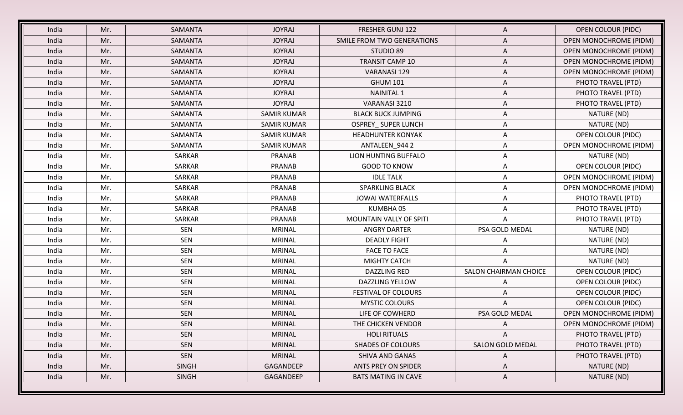| India | Mr. | SAMANTA      | <b>JOYRAJ</b>      | FRESHER GUNJ 122           | A                            | <b>OPEN COLOUR (PIDC)</b>     |
|-------|-----|--------------|--------------------|----------------------------|------------------------------|-------------------------------|
| India | Mr. | SAMANTA      | <b>JOYRAJ</b>      | SMILE FROM TWO GENERATIONS | A                            | <b>OPEN MONOCHROME (PIDM)</b> |
| India | Mr. | SAMANTA      | <b>JOYRAJ</b>      | STUDIO 89                  | A                            | <b>OPEN MONOCHROME (PIDM)</b> |
| India | Mr. | SAMANTA      | <b>JOYRAJ</b>      | <b>TRANSIT CAMP 10</b>     | A                            | <b>OPEN MONOCHROME (PIDM)</b> |
| India | Mr. | SAMANTA      | <b>JOYRAJ</b>      | <b>VARANASI 129</b>        | A                            | <b>OPEN MONOCHROME (PIDM)</b> |
| India | Mr. | SAMANTA      | <b>JOYRAJ</b>      | <b>GHUM 101</b>            | A                            | PHOTO TRAVEL (PTD)            |
| India | Mr. | SAMANTA      | <b>JOYRAJ</b>      | <b>NAINITAL 1</b>          | A                            | PHOTO TRAVEL (PTD)            |
| India | Mr. | SAMANTA      | <b>JOYRAJ</b>      | VARANASI 3210              | Α                            | PHOTO TRAVEL (PTD)            |
| India | Mr. | SAMANTA      | <b>SAMIR KUMAR</b> | <b>BLACK BUCK JUMPING</b>  | Α                            | NATURE (ND)                   |
| India | Mr. | SAMANTA      | <b>SAMIR KUMAR</b> | <b>OSPREY_SUPER LUNCH</b>  | A                            | NATURE (ND)                   |
| India | Mr. | SAMANTA      | <b>SAMIR KUMAR</b> | <b>HEADHUNTER KONYAK</b>   | A                            | <b>OPEN COLOUR (PIDC)</b>     |
| India | Mr. | SAMANTA      | <b>SAMIR KUMAR</b> | ANTALEEN_944 2             | A                            | <b>OPEN MONOCHROME (PIDM)</b> |
| India | Mr. | SARKAR       | PRANAB             | LION HUNTING BUFFALO       | A                            | NATURE (ND)                   |
| India | Mr. | SARKAR       | PRANAB             | <b>GOOD TO KNOW</b>        | A                            | <b>OPEN COLOUR (PIDC)</b>     |
| India | Mr. | SARKAR       | PRANAB             | <b>IDLE TALK</b>           | Α                            | <b>OPEN MONOCHROME (PIDM)</b> |
| India | Mr. | SARKAR       | PRANAB             | <b>SPARKLING BLACK</b>     | A                            | <b>OPEN MONOCHROME (PIDM)</b> |
| India | Mr. | SARKAR       | PRANAB             | <b>JOWAI WATERFALLS</b>    | A                            | PHOTO TRAVEL (PTD)            |
| India | Mr. | SARKAR       | PRANAB             | KUMBHA 05                  | A                            | PHOTO TRAVEL (PTD)            |
| India | Mr. | SARKAR       | PRANAB             | MOUNTAIN VALLY OF SPITI    | Α                            | PHOTO TRAVEL (PTD)            |
| India | Mr. | <b>SEN</b>   | <b>MRINAL</b>      | <b>ANGRY DARTER</b>        | PSA GOLD MEDAL               | NATURE (ND)                   |
| India | Mr. | <b>SEN</b>   | <b>MRINAL</b>      | <b>DEADLY FIGHT</b>        | A                            | NATURE (ND)                   |
| India | Mr. | <b>SEN</b>   | <b>MRINAL</b>      | <b>FACE TO FACE</b>        | A                            | NATURE (ND)                   |
| India | Mr. | <b>SEN</b>   | <b>MRINAL</b>      | <b>MIGHTY CATCH</b>        | A                            | NATURE (ND)                   |
| India | Mr. | <b>SEN</b>   | <b>MRINAL</b>      | <b>DAZZLING RED</b>        | <b>SALON CHAIRMAN CHOICE</b> | <b>OPEN COLOUR (PIDC)</b>     |
| India | Mr. | <b>SEN</b>   | <b>MRINAL</b>      | DAZZLING YELLOW            | A                            | <b>OPEN COLOUR (PIDC)</b>     |
| India | Mr. | <b>SEN</b>   | <b>MRINAL</b>      | FESTIVAL OF COLOURS        | A                            | <b>OPEN COLOUR (PIDC)</b>     |
| India | Mr. | <b>SEN</b>   | <b>MRINAL</b>      | <b>MYSTIC COLOURS</b>      | A                            | <b>OPEN COLOUR (PIDC)</b>     |
| India | Mr. | <b>SEN</b>   | <b>MRINAL</b>      | LIFE OF COWHERD            | PSA GOLD MEDAL               | <b>OPEN MONOCHROME (PIDM)</b> |
| India | Mr. | SEN          | <b>MRINAL</b>      | THE CHICKEN VENDOR         | $\mathsf{A}$                 | <b>OPEN MONOCHROME (PIDM)</b> |
| India | Mr. | <b>SEN</b>   | <b>MRINAL</b>      | <b>HOLI RITUALS</b>        | A                            | PHOTO TRAVEL (PTD)            |
| India | Mr. | <b>SEN</b>   | <b>MRINAL</b>      | <b>SHADES OF COLOURS</b>   | SALON GOLD MEDAL             | PHOTO TRAVEL (PTD)            |
| India | Mr. | <b>SEN</b>   | <b>MRINAL</b>      | SHIVA AND GANAS            | A                            | PHOTO TRAVEL (PTD)            |
| India | Mr. | <b>SINGH</b> | GAGANDEEP          | <b>ANTS PREY ON SPIDER</b> | A                            | NATURE (ND)                   |
| India | Mr. | <b>SINGH</b> | GAGANDEEP          | <b>BATS MATING IN CAVE</b> | A                            | NATURE (ND)                   |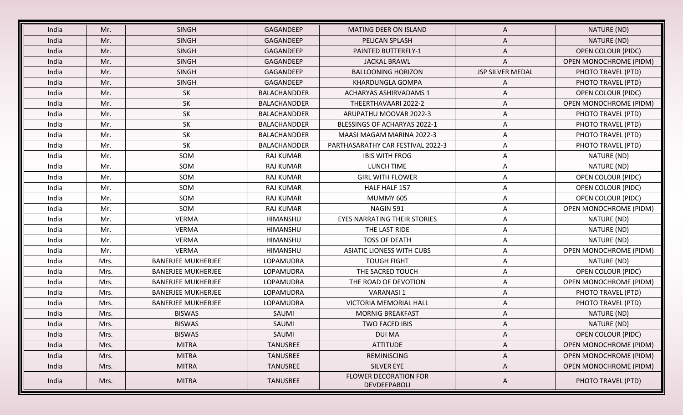| India | Mr.  | <b>SINGH</b>              | GAGANDEEP           | <b>MATING DEER ON ISLAND</b>                 | Α                | NATURE (ND)                   |
|-------|------|---------------------------|---------------------|----------------------------------------------|------------------|-------------------------------|
| India | Mr.  | <b>SINGH</b>              | <b>GAGANDEEP</b>    | PELICAN SPLASH                               | Α                | NATURE (ND)                   |
| India | Mr.  | <b>SINGH</b>              | GAGANDEEP           | <b>PAINTED BUTTERFLY-1</b>                   | Α                | <b>OPEN COLOUR (PIDC)</b>     |
| India | Mr.  | <b>SINGH</b>              | GAGANDEEP           | <b>JACKAL BRAWL</b>                          | A                | <b>OPEN MONOCHROME (PIDM)</b> |
| India | Mr.  | <b>SINGH</b>              | GAGANDEEP           | <b>BALLOONING HORIZON</b>                    | JSP SILVER MEDAL | PHOTO TRAVEL (PTD)            |
| India | Mr.  | <b>SINGH</b>              | GAGANDEEP           | <b>KHARDUNGLA GOMPA</b>                      | A                | PHOTO TRAVEL (PTD)            |
| India | Mr.  | SK                        | <b>BALACHANDDER</b> | <b>ACHARYAS ASHIRVADAMS 1</b>                | A                | <b>OPEN COLOUR (PIDC)</b>     |
| India | Mr.  | <b>SK</b>                 | BALACHANDDER        | THEERTHAVAARI 2022-2                         | Α                | <b>OPEN MONOCHROME (PIDM)</b> |
| India | Mr.  | SK                        | BALACHANDDER        | ARUPATHU MOOVAR 2022-3                       | A                | PHOTO TRAVEL (PTD)            |
| India | Mr.  | <b>SK</b>                 | BALACHANDDER        | BLESSINGS OF ACHARYAS 2022-1                 | Α                | PHOTO TRAVEL (PTD)            |
| India | Mr.  | SK                        | BALACHANDDER        | MAASI MAGAM MARINA 2022-3                    | A                | PHOTO TRAVEL (PTD)            |
| India | Mr.  | SK                        | <b>BALACHANDDER</b> | PARTHASARATHY CAR FESTIVAL 2022-3            | Α                | PHOTO TRAVEL (PTD)            |
| India | Mr.  | SOM                       | <b>RAJ KUMAR</b>    | <b>IBIS WITH FROG</b>                        | A                | NATURE (ND)                   |
| India | Mr.  | SOM                       | <b>RAJ KUMAR</b>    | LUNCH TIME                                   | A                | NATURE (ND)                   |
| India | Mr.  | SOM                       | <b>RAJ KUMAR</b>    | <b>GIRL WITH FLOWER</b>                      | A                | <b>OPEN COLOUR (PIDC)</b>     |
| India | Mr.  | SOM                       | <b>RAJ KUMAR</b>    | HALF HALF 157                                | A                | <b>OPEN COLOUR (PIDC)</b>     |
| India | Mr.  | SOM                       | <b>RAJ KUMAR</b>    | MUMMY 605                                    | A                | <b>OPEN COLOUR (PIDC)</b>     |
| India | Mr.  | SOM                       | <b>RAJ KUMAR</b>    | NAGIN 591                                    | Α                | <b>OPEN MONOCHROME (PIDM)</b> |
| India | Mr.  | <b>VERMA</b>              | <b>HIMANSHU</b>     | <b>EYES NARRATING THEIR STORIES</b>          | A                | NATURE (ND)                   |
| India | Mr.  | <b>VERMA</b>              | HIMANSHU            | THE LAST RIDE                                | A                | NATURE (ND)                   |
| India | Mr.  | <b>VERMA</b>              | HIMANSHU            | <b>TOSS OF DEATH</b>                         | A                | NATURE (ND)                   |
| India | Mr.  | <b>VERMA</b>              | HIMANSHU            | <b>ASIATIC LIONESS WITH CUBS</b>             | A                | <b>OPEN MONOCHROME (PIDM)</b> |
| India | Mrs. | <b>BANERJEE MUKHERJEE</b> | LOPAMUDRA           | <b>TOUGH FIGHT</b>                           | A                | NATURE (ND)                   |
| India | Mrs. | <b>BANERJEE MUKHERJEE</b> | LOPAMUDRA           | THE SACRED TOUCH                             | Α                | <b>OPEN COLOUR (PIDC)</b>     |
| India | Mrs. | <b>BANERJEE MUKHERJEE</b> | LOPAMUDRA           | THE ROAD OF DEVOTION                         | A                | <b>OPEN MONOCHROME (PIDM)</b> |
| India | Mrs. | <b>BANERJEE MUKHERJEE</b> | LOPAMUDRA           | <b>VARANASI 1</b>                            | A                | PHOTO TRAVEL (PTD)            |
| India | Mrs. | <b>BANERJEE MUKHERJEE</b> | LOPAMUDRA           | <b>VICTORIA MEMORIAL HALL</b>                | A                | PHOTO TRAVEL (PTD)            |
| India | Mrs. | <b>BISWAS</b>             | SAUMI               | <b>MORNIG BREAKFAST</b>                      | A                | NATURE (ND)                   |
| India | Mrs. | <b>BISWAS</b>             | SAUMI               | TWO FACED IBIS                               | A                | NATURE (ND)                   |
| India | Mrs. | <b>BISWAS</b>             | SAUMI               | <b>DUI MA</b>                                | A                | <b>OPEN COLOUR (PIDC)</b>     |
| India | Mrs. | <b>MITRA</b>              | TANUSREE            | <b>ATTITUDE</b>                              | Α                | <b>OPEN MONOCHROME (PIDM)</b> |
| India | Mrs. | <b>MITRA</b>              | TANUSREE            | <b>REMINISCING</b>                           | A                | <b>OPEN MONOCHROME (PIDM)</b> |
| India | Mrs. | <b>MITRA</b>              | <b>TANUSREE</b>     | <b>SILVER EYE</b>                            | $\mathsf{A}$     | <b>OPEN MONOCHROME (PIDM)</b> |
| India | Mrs. | <b>MITRA</b>              | TANUSREE            | <b>FLOWER DECORATION FOR</b><br>DEVDEEPABOLI | A                | PHOTO TRAVEL (PTD)            |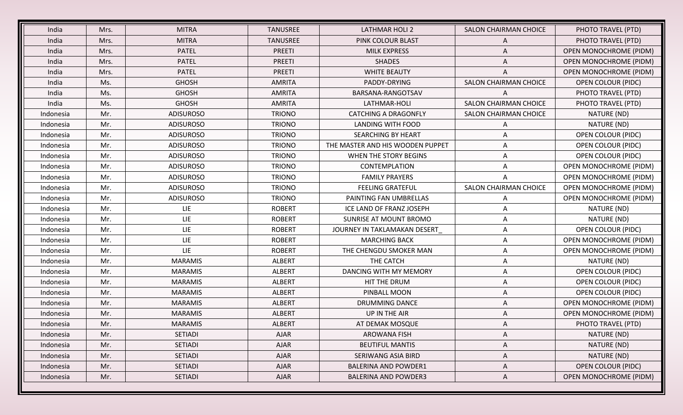| India     | Mrs. | <b>MITRA</b>     | <b>TANUSREE</b> | <b>LATHMAR HOLI 2</b>            | <b>SALON CHAIRMAN CHOICE</b> | PHOTO TRAVEL (PTD)            |
|-----------|------|------------------|-----------------|----------------------------------|------------------------------|-------------------------------|
| India     | Mrs. | <b>MITRA</b>     | <b>TANUSREE</b> | PINK COLOUR BLAST                | A                            | PHOTO TRAVEL (PTD)            |
| India     | Mrs. | <b>PATEL</b>     | <b>PREETI</b>   | <b>MILK EXPRESS</b>              | A                            | <b>OPEN MONOCHROME (PIDM)</b> |
| India     | Mrs. | PATEL            | PREETI          | <b>SHADES</b>                    | A                            | <b>OPEN MONOCHROME (PIDM)</b> |
| India     | Mrs. | <b>PATEL</b>     | PREETI          | <b>WHITE BEAUTY</b>              | A                            | <b>OPEN MONOCHROME (PIDM)</b> |
| India     | Ms.  | <b>GHOSH</b>     | <b>AMRITA</b>   | PADDY-DRYING                     | SALON CHAIRMAN CHOICE        | <b>OPEN COLOUR (PIDC)</b>     |
| India     | Ms.  | <b>GHOSH</b>     | AMRITA          | BARSANA-RANGOTSAV                | A                            | PHOTO TRAVEL (PTD)            |
| India     | Ms.  | <b>GHOSH</b>     | <b>AMRITA</b>   | LATHMAR-HOLI                     | <b>SALON CHAIRMAN CHOICE</b> | PHOTO TRAVEL (PTD)            |
| Indonesia | Mr.  | <b>ADISUROSO</b> | <b>TRIONO</b>   | <b>CATCHING A DRAGONFLY</b>      | <b>SALON CHAIRMAN CHOICE</b> | NATURE (ND)                   |
| Indonesia | Mr.  | <b>ADISUROSO</b> | <b>TRIONO</b>   | <b>LANDING WITH FOOD</b>         | A                            | NATURE (ND)                   |
| Indonesia | Mr.  | <b>ADISUROSO</b> | <b>TRIONO</b>   | <b>SEARCHING BY HEART</b>        | A                            | <b>OPEN COLOUR (PIDC)</b>     |
| Indonesia | Mr.  | <b>ADISUROSO</b> | <b>TRIONO</b>   | THE MASTER AND HIS WOODEN PUPPET | A                            | <b>OPEN COLOUR (PIDC)</b>     |
| Indonesia | Mr.  | ADISUROSO        | <b>TRIONO</b>   | WHEN THE STORY BEGINS            | A                            | <b>OPEN COLOUR (PIDC)</b>     |
| Indonesia | Mr.  | <b>ADISUROSO</b> | <b>TRIONO</b>   | <b>CONTEMPLATION</b>             | A                            | <b>OPEN MONOCHROME (PIDM)</b> |
| Indonesia | Mr.  | <b>ADISUROSO</b> | <b>TRIONO</b>   | <b>FAMILY PRAYERS</b>            | A                            | OPEN MONOCHROME (PIDM)        |
| Indonesia | Mr.  | <b>ADISUROSO</b> | <b>TRIONO</b>   | <b>FEELING GRATEFUL</b>          | SALON CHAIRMAN CHOICE        | <b>OPEN MONOCHROME (PIDM)</b> |
| Indonesia | Mr.  | <b>ADISUROSO</b> | <b>TRIONO</b>   | PAINTING FAN UMBRELLAS           | A                            | <b>OPEN MONOCHROME (PIDM)</b> |
| Indonesia | Mr.  | LIE              | <b>ROBERT</b>   | ICE LAND OF FRANZ JOSEPH         | A                            | NATURE (ND)                   |
| Indonesia | Mr.  | LIE              | <b>ROBERT</b>   | SUNRISE AT MOUNT BROMO           | A                            | NATURE (ND)                   |
| Indonesia | Mr.  | LIE              | <b>ROBERT</b>   | JOURNEY IN TAKLAMAKAN DESERT_    | A                            | <b>OPEN COLOUR (PIDC)</b>     |
| Indonesia | Mr.  | LIE              | <b>ROBERT</b>   | <b>MARCHING BACK</b>             | A                            | <b>OPEN MONOCHROME (PIDM)</b> |
| Indonesia | Mr.  | <b>LIE</b>       | <b>ROBERT</b>   | THE CHENGDU SMOKER MAN           | Α                            | <b>OPEN MONOCHROME (PIDM)</b> |
| Indonesia | Mr.  | <b>MARAMIS</b>   | <b>ALBERT</b>   | THE CATCH                        | A                            | NATURE (ND)                   |
| Indonesia | Mr.  | <b>MARAMIS</b>   | <b>ALBERT</b>   | DANCING WITH MY MEMORY           | A                            | <b>OPEN COLOUR (PIDC)</b>     |
| Indonesia | Mr.  | <b>MARAMIS</b>   | <b>ALBERT</b>   | HIT THE DRUM                     | A                            | <b>OPEN COLOUR (PIDC)</b>     |
| Indonesia | Mr.  | <b>MARAMIS</b>   | <b>ALBERT</b>   | PINBALL MOON                     | A                            | <b>OPEN COLOUR (PIDC)</b>     |
| Indonesia | Mr.  | <b>MARAMIS</b>   | <b>ALBERT</b>   | DRUMMING DANCE                   | A                            | OPEN MONOCHROME (PIDM)        |
| Indonesia | Mr.  | <b>MARAMIS</b>   | <b>ALBERT</b>   | UP IN THE AIR                    | Α                            | <b>OPEN MONOCHROME (PIDM)</b> |
| Indonesia | Mr.  | <b>MARAMIS</b>   | ALBERT          | AT DEMAK MOSQUE                  | A                            | PHOTO TRAVEL (PTD)            |
| Indonesia | Mr.  | <b>SETIADI</b>   | <b>AJAR</b>     | AROWANA FISH                     | A                            | NATURE (ND)                   |
| Indonesia | Mr.  | SETIADI          | <b>AJAR</b>     | <b>BEUTIFUL MANTIS</b>           | A                            | NATURE (ND)                   |
| Indonesia | Mr.  | <b>SETIADI</b>   | <b>AJAR</b>     | SERIWANG ASIA BIRD               | A                            | NATURE (ND)                   |
| Indonesia | Mr.  | <b>SETIADI</b>   | <b>AJAR</b>     | <b>BALERINA AND POWDER1</b>      | A                            | <b>OPEN COLOUR (PIDC)</b>     |
| Indonesia | Mr.  | <b>SETIADI</b>   | <b>AJAR</b>     | <b>BALERINA AND POWDER3</b>      | A                            | <b>OPEN MONOCHROME (PIDM)</b> |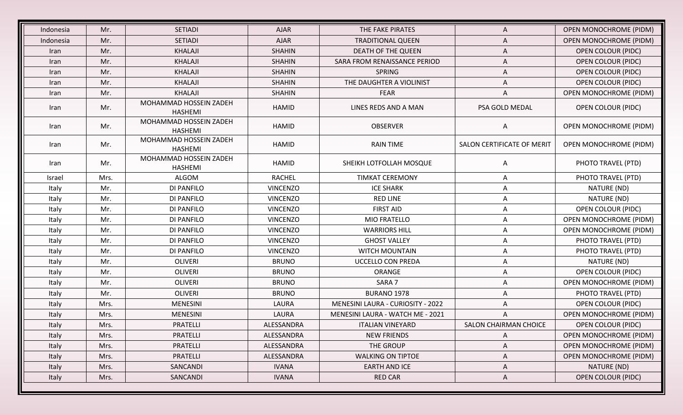| Indonesia   | Mr.  | <b>SETIADI</b>                           | <b>AJAR</b>     | THE FAKE PIRATES                  | A                          | <b>OPEN MONOCHROME (PIDM)</b> |
|-------------|------|------------------------------------------|-----------------|-----------------------------------|----------------------------|-------------------------------|
| Indonesia   | Mr.  | <b>SETIADI</b>                           | <b>AJAR</b>     | <b>TRADITIONAL QUEEN</b>          | A                          | <b>OPEN MONOCHROME (PIDM)</b> |
| <b>Iran</b> | Mr.  | KHALAJI                                  | <b>SHAHIN</b>   | DEATH OF THE QUEEN                | A                          | <b>OPEN COLOUR (PIDC)</b>     |
| Iran        | Mr.  | KHALAJI                                  | <b>SHAHIN</b>   | SARA FROM RENAISSANCE PERIOD      | A                          | <b>OPEN COLOUR (PIDC)</b>     |
| Iran        | Mr.  | KHALAJI                                  | <b>SHAHIN</b>   | SPRING                            | A                          | OPEN COLOUR (PIDC)            |
| Iran        | Mr.  | KHALAJI                                  | <b>SHAHIN</b>   | THE DAUGHTER A VIOLINIST          | A                          | OPEN COLOUR (PIDC)            |
| Iran        | Mr.  | KHALAJI                                  | <b>SHAHIN</b>   | <b>FEAR</b>                       | A                          | <b>OPEN MONOCHROME (PIDM)</b> |
| Iran        | Mr.  | MOHAMMAD HOSSEIN ZADEH<br><b>HASHEMI</b> | <b>HAMID</b>    | LINES REDS AND A MAN              | PSA GOLD MEDAL             | <b>OPEN COLOUR (PIDC)</b>     |
| Iran        | Mr.  | MOHAMMAD HOSSEIN ZADEH<br><b>HASHEMI</b> | <b>HAMID</b>    | <b>OBSERVER</b>                   | A                          | <b>OPEN MONOCHROME (PIDM)</b> |
| Iran        | Mr.  | MOHAMMAD HOSSEIN ZADEH<br><b>HASHEMI</b> | <b>HAMID</b>    | <b>RAIN TIME</b>                  | SALON CERTIFICATE OF MERIT | <b>OPEN MONOCHROME (PIDM)</b> |
| Iran        | Mr.  | MOHAMMAD HOSSEIN ZADEH<br><b>HASHEMI</b> | <b>HAMID</b>    | SHEIKH LOTFOLLAH MOSQUE           | Α                          | PHOTO TRAVEL (PTD)            |
| Israel      | Mrs. | ALGOM                                    | <b>RACHEL</b>   | <b>TIMKAT CEREMONY</b>            | A                          | PHOTO TRAVEL (PTD)            |
| Italy       | Mr.  | DI PANFILO                               | <b>VINCENZO</b> | <b>ICE SHARK</b>                  | A                          | NATURE (ND)                   |
| Italy       | Mr.  | DI PANFILO                               | <b>VINCENZO</b> | <b>RED LINE</b>                   | A                          | NATURE (ND)                   |
| Italy       | Mr.  | DI PANFILO                               | <b>VINCENZO</b> | <b>FIRST AID</b>                  | Α                          | <b>OPEN COLOUR (PIDC)</b>     |
| Italy       | Mr.  | DI PANFILO                               | <b>VINCENZO</b> | MIO FRATELLO                      | Α                          | <b>OPEN MONOCHROME (PIDM)</b> |
| Italy       | Mr.  | DI PANFILO                               | <b>VINCENZO</b> | <b>WARRIORS HILL</b>              | A                          | <b>OPEN MONOCHROME (PIDM)</b> |
| Italy       | Mr.  | DI PANFILO                               | <b>VINCENZO</b> | <b>GHOST VALLEY</b>               | A                          | PHOTO TRAVEL (PTD)            |
| Italy       | Mr.  | DI PANFILO                               | <b>VINCENZO</b> | <b>WITCH MOUNTAIN</b>             | A                          | PHOTO TRAVEL (PTD)            |
| Italy       | Mr.  | <b>OLIVERI</b>                           | <b>BRUNO</b>    | <b>UCCELLO CON PREDA</b>          | A                          | NATURE (ND)                   |
| Italy       | Mr.  | <b>OLIVERI</b>                           | <b>BRUNO</b>    | ORANGE                            | Α                          | <b>OPEN COLOUR (PIDC)</b>     |
| Italy       | Mr.  | <b>OLIVERI</b>                           | <b>BRUNO</b>    | SARA 7                            | A                          | <b>OPEN MONOCHROME (PIDM)</b> |
| Italy       | Mr.  | <b>OLIVERI</b>                           | <b>BRUNO</b>    | BURANO 1978                       | A                          | PHOTO TRAVEL (PTD)            |
| Italy       | Mrs. | <b>MENESINI</b>                          | LAURA           | MENESINI LAURA - CURIOSITY - 2022 | A                          | <b>OPEN COLOUR (PIDC)</b>     |
| Italy       | Mrs. | <b>MENESINI</b>                          | LAURA           | MENESINI LAURA - WATCH ME - 2021  | A                          | <b>OPEN MONOCHROME (PIDM)</b> |
| Italy       | Mrs. | PRATELLI                                 | ALESSANDRA      | <b>ITALIAN VINEYARD</b>           | SALON CHAIRMAN CHOICE      | <b>OPEN COLOUR (PIDC)</b>     |
| Italy       | Mrs. | PRATELLI                                 | ALESSANDRA      | <b>NEW FRIENDS</b>                | A                          | <b>OPEN MONOCHROME (PIDM)</b> |
| Italy       | Mrs. | PRATELLI                                 | ALESSANDRA      | THE GROUP                         | A                          | <b>OPEN MONOCHROME (PIDM)</b> |
| Italy       | Mrs. | PRATELLI                                 | ALESSANDRA      | <b>WALKING ON TIPTOE</b>          | A                          | <b>OPEN MONOCHROME (PIDM)</b> |
| Italy       | Mrs. | SANCANDI                                 | <b>IVANA</b>    | <b>EARTH AND ICE</b>              | A                          | NATURE (ND)                   |
| Italy       | Mrs. | SANCANDI                                 | <b>IVANA</b>    | <b>RED CAR</b>                    | A                          | <b>OPEN COLOUR (PIDC)</b>     |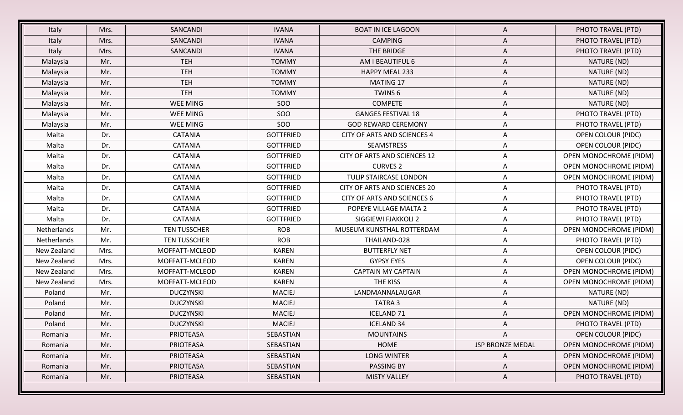| Italy       | Mrs. | SANCANDI            | <b>IVANA</b>     | <b>BOAT IN ICE LAGOON</b>          | A                | PHOTO TRAVEL (PTD)            |
|-------------|------|---------------------|------------------|------------------------------------|------------------|-------------------------------|
| Italy       | Mrs. | SANCANDI            | <b>IVANA</b>     | <b>CAMPING</b>                     | A                | PHOTO TRAVEL (PTD)            |
| Italy       | Mrs. | SANCANDI            | <b>IVANA</b>     | THE BRIDGE                         | A                | PHOTO TRAVEL (PTD)            |
| Malaysia    | Mr.  | <b>TEH</b>          | <b>TOMMY</b>     | AM I BEAUTIFUL 6                   | A                | NATURE (ND)                   |
| Malaysia    | Mr.  | <b>TEH</b>          | <b>TOMMY</b>     | <b>HAPPY MEAL 233</b>              | A                | NATURE (ND)                   |
| Malaysia    | Mr.  | <b>TEH</b>          | <b>TOMMY</b>     | MATING 17                          | A                | NATURE (ND)                   |
| Malaysia    | Mr.  | <b>TEH</b>          | <b>TOMMY</b>     | TWINS <sub>6</sub>                 | Α                | NATURE (ND)                   |
| Malaysia    | Mr.  | WEE MING            | SOO              | <b>COMPETE</b>                     | A                | NATURE (ND)                   |
| Malaysia    | Mr.  | WEE MING            | SOO              | <b>GANGES FESTIVAL 18</b>          | Α                | PHOTO TRAVEL (PTD)            |
| Malaysia    | Mr.  | <b>WEE MING</b>     | SOO              | <b>GOD REWARD CEREMONY</b>         | A                | PHOTO TRAVEL (PTD)            |
| Malta       | Dr.  | <b>CATANIA</b>      | <b>GOTTFRIED</b> | <b>CITY OF ARTS AND SCIENCES 4</b> | A                | <b>OPEN COLOUR (PIDC)</b>     |
| Malta       | Dr.  | <b>CATANIA</b>      | <b>GOTTFRIED</b> | <b>SEAMSTRESS</b>                  | A                | <b>OPEN COLOUR (PIDC)</b>     |
| Malta       | Dr.  | <b>CATANIA</b>      | <b>GOTTFRIED</b> | CITY OF ARTS AND SCIENCES 12       | A                | <b>OPEN MONOCHROME (PIDM)</b> |
| Malta       | Dr.  | <b>CATANIA</b>      | <b>GOTTFRIED</b> | <b>CURVES 2</b>                    | A                | <b>OPEN MONOCHROME (PIDM)</b> |
| Malta       | Dr.  | <b>CATANIA</b>      | <b>GOTTFRIED</b> | TULIP STAIRCASE LONDON             | A                | <b>OPEN MONOCHROME (PIDM)</b> |
| Malta       | Dr.  | <b>CATANIA</b>      | <b>GOTTFRIED</b> | CITY OF ARTS AND SCIENCES 20       | A                | PHOTO TRAVEL (PTD)            |
| Malta       | Dr.  | <b>CATANIA</b>      | <b>GOTTFRIED</b> | CITY OF ARTS AND SCIENCES 6        | A                | PHOTO TRAVEL (PTD)            |
| Malta       | Dr.  | <b>CATANIA</b>      | <b>GOTTFRIED</b> | POPEYE VILLAGE MALTA 2             | A                | PHOTO TRAVEL (PTD)            |
| Malta       | Dr.  | <b>CATANIA</b>      | <b>GOTTFRIED</b> | SIGGIEWI FJAKKOLI 2                | A                | PHOTO TRAVEL (PTD)            |
| Netherlands | Mr.  | <b>TEN TUSSCHER</b> | <b>ROB</b>       | MUSEUM KUNSTHAL ROTTERDAM          | A                | <b>OPEN MONOCHROME (PIDM)</b> |
| Netherlands | Mr.  | <b>TEN TUSSCHER</b> | <b>ROB</b>       | THAILAND-028                       | A                | PHOTO TRAVEL (PTD)            |
| New Zealand | Mrs. | MOFFATT-MCLEOD      | <b>KAREN</b>     | <b>BUTTERFLY NET</b>               | A                | <b>OPEN COLOUR (PIDC)</b>     |
| New Zealand | Mrs. | MOFFATT-MCLEOD      | <b>KAREN</b>     | <b>GYPSY EYES</b>                  | A                | <b>OPEN COLOUR (PIDC)</b>     |
| New Zealand | Mrs. | MOFFATT-MCLEOD      | <b>KAREN</b>     | <b>CAPTAIN MY CAPTAIN</b>          | A                | <b>OPEN MONOCHROME (PIDM)</b> |
| New Zealand | Mrs. | MOFFATT-MCLEOD      | <b>KAREN</b>     | THE KISS                           | A                | <b>OPEN MONOCHROME (PIDM)</b> |
| Poland      | Mr.  | <b>DUCZYNSKI</b>    | <b>MACIEJ</b>    | LANDMANNALAUGAR                    | A                | NATURE (ND)                   |
| Poland      | Mr.  | <b>DUCZYNSKI</b>    | <b>MACIEJ</b>    | TATRA 3                            | A                | NATURE (ND)                   |
| Poland      | Mr.  | <b>DUCZYNSKI</b>    | <b>MACIEJ</b>    | <b>ICELAND 71</b>                  | Α                | <b>OPEN MONOCHROME (PIDM)</b> |
| Poland      | Mr.  | <b>DUCZYNSKI</b>    | <b>MACIEJ</b>    | <b>ICELAND 34</b>                  | A                | PHOTO TRAVEL (PTD)            |
| Romania     | Mr.  | <b>PRIOTEASA</b>    | SEBASTIAN        | <b>MOUNTAINS</b>                   | A                | <b>OPEN COLOUR (PIDC)</b>     |
| Romania     | Mr.  | <b>PRIOTEASA</b>    | SEBASTIAN        | HOME                               | JSP BRONZE MEDAL | <b>OPEN MONOCHROME (PIDM)</b> |
| Romania     | Mr.  | <b>PRIOTEASA</b>    | SEBASTIAN        | <b>LONG WINTER</b>                 | A                | <b>OPEN MONOCHROME (PIDM)</b> |
| Romania     | Mr.  | <b>PRIOTEASA</b>    | SEBASTIAN        | PASSING BY                         | A                | <b>OPEN MONOCHROME (PIDM)</b> |
| Romania     | Mr.  | PRIOTEASA           | SEBASTIAN        | <b>MISTY VALLEY</b>                | A                | PHOTO TRAVEL (PTD)            |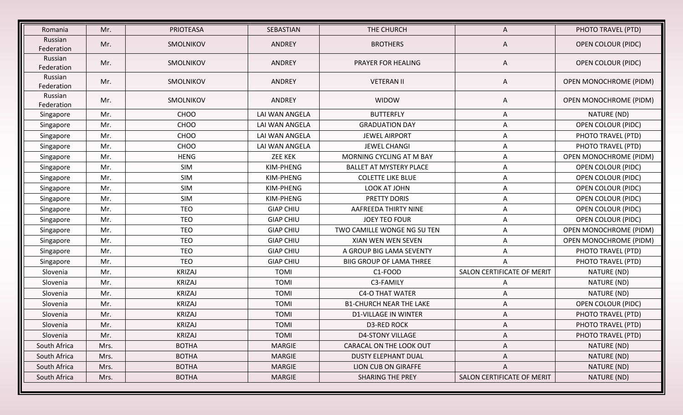| Romania               | Mr.  | <b>PRIOTEASA</b> | SEBASTIAN        | THE CHURCH                      | A                          | PHOTO TRAVEL (PTD)            |
|-----------------------|------|------------------|------------------|---------------------------------|----------------------------|-------------------------------|
| Russian<br>Federation | Mr.  | SMOLNIKOV        | ANDREY           | <b>BROTHERS</b>                 | A                          | <b>OPEN COLOUR (PIDC)</b>     |
| Russian<br>Federation | Mr.  | SMOLNIKOV        | ANDREY           | PRAYER FOR HEALING              | A                          | <b>OPEN COLOUR (PIDC)</b>     |
| Russian<br>Federation | Mr.  | SMOLNIKOV        | ANDREY           | <b>VETERAN II</b>               | A                          | <b>OPEN MONOCHROME (PIDM)</b> |
| Russian<br>Federation | Mr.  | SMOLNIKOV        | ANDREY           | <b>WIDOW</b>                    | A                          | <b>OPEN MONOCHROME (PIDM)</b> |
| Singapore             | Mr.  | <b>CHOO</b>      | LAI WAN ANGELA   | <b>BUTTERFLY</b>                | A                          | NATURE (ND)                   |
| Singapore             | Mr.  | CHOO             | LAI WAN ANGELA   | <b>GRADUATION DAY</b>           | A                          | <b>OPEN COLOUR (PIDC)</b>     |
| Singapore             | Mr.  | <b>CHOO</b>      | LAI WAN ANGELA   | <b>JEWEL AIRPORT</b>            | A                          | PHOTO TRAVEL (PTD)            |
| Singapore             | Mr.  | <b>CHOO</b>      | LAI WAN ANGELA   | <b>JEWEL CHANGI</b>             | A                          | PHOTO TRAVEL (PTD)            |
| Singapore             | Mr.  | <b>HENG</b>      | <b>ZEE KEK</b>   | MORNING CYCLING AT M BAY        | A                          | <b>OPEN MONOCHROME (PIDM)</b> |
| Singapore             | Mr.  | SIM              | KIM-PHENG        | <b>BALLET AT MYSTERY PLACE</b>  | Α                          | <b>OPEN COLOUR (PIDC)</b>     |
| Singapore             | Mr.  | SIM              | KIM-PHENG        | <b>COLETTE LIKE BLUE</b>        | A                          | <b>OPEN COLOUR (PIDC)</b>     |
| Singapore             | Mr.  | SIM              | KIM-PHENG        | LOOK AT JOHN                    | A                          | <b>OPEN COLOUR (PIDC)</b>     |
| Singapore             | Mr.  | SIM              | KIM-PHENG        | PRETTY DORIS                    | A                          | <b>OPEN COLOUR (PIDC)</b>     |
| Singapore             | Mr.  | <b>TEO</b>       | <b>GIAP CHIU</b> | AAFREEDA THIRTY NINE            | A                          | <b>OPEN COLOUR (PIDC)</b>     |
| Singapore             | Mr.  | <b>TEO</b>       | <b>GIAP CHIU</b> | <b>JOEY TEO FOUR</b>            | A                          | <b>OPEN COLOUR (PIDC)</b>     |
| Singapore             | Mr.  | <b>TEO</b>       | <b>GIAP CHIU</b> | TWO CAMILLE WONGE NG SU TEN     | A                          | <b>OPEN MONOCHROME (PIDM)</b> |
| Singapore             | Mr.  | <b>TEO</b>       | <b>GIAP CHIU</b> | XIAN WEN WEN SEVEN              | A                          | <b>OPEN MONOCHROME (PIDM)</b> |
| Singapore             | Mr.  | <b>TEO</b>       | <b>GIAP CHIU</b> | A GROUP BIG LAMA SEVENTY        | A                          | PHOTO TRAVEL (PTD)            |
| Singapore             | Mr.  | <b>TEO</b>       | <b>GIAP CHIU</b> | <b>BIIG GROUP OF LAMA THREE</b> | A                          | PHOTO TRAVEL (PTD)            |
| Slovenia              | Mr.  | <b>KRIZAJ</b>    | <b>TOMI</b>      | C1-FOOD                         | SALON CERTIFICATE OF MERIT | NATURE (ND)                   |
| Slovenia              | Mr.  | <b>KRIZAJ</b>    | <b>TOMI</b>      | C3-FAMILY                       | A                          | NATURE (ND)                   |
| Slovenia              | Mr.  | <b>KRIZAJ</b>    | <b>TOMI</b>      | <b>C4-O THAT WATER</b>          | A                          | NATURE (ND)                   |
| Slovenia              | Mr.  | <b>KRIZAJ</b>    | <b>TOMI</b>      | <b>B1-CHURCH NEAR THE LAKE</b>  | A                          | <b>OPEN COLOUR (PIDC)</b>     |
| Slovenia              | Mr.  | <b>KRIZAJ</b>    | <b>TOMI</b>      | <b>D1-VILLAGE IN WINTER</b>     | A                          | PHOTO TRAVEL (PTD)            |
| Slovenia              | Mr.  | KRIZAJ           | <b>TOMI</b>      | <b>D3-RED ROCK</b>              | A                          | PHOTO TRAVEL (PTD)            |
| Slovenia              | Mr.  | <b>KRIZAJ</b>    | <b>TOMI</b>      | <b>D4-STONY VILLAGE</b>         | A                          | PHOTO TRAVEL (PTD)            |
| South Africa          | Mrs. | <b>BOTHA</b>     | MARGIE           | CARACAL ON THE LOOK OUT         | A                          | NATURE (ND)                   |
| South Africa          | Mrs. | <b>BOTHA</b>     | <b>MARGIE</b>    | <b>DUSTY ELEPHANT DUAL</b>      | A                          | NATURE (ND)                   |
| South Africa          | Mrs. | <b>BOTHA</b>     | MARGIE           | LION CUB ON GIRAFFE             | A                          | NATURE (ND)                   |
| South Africa          | Mrs. | <b>BOTHA</b>     | <b>MARGIE</b>    | <b>SHARING THE PREY</b>         | SALON CERTIFICATE OF MERIT | NATURE (ND)                   |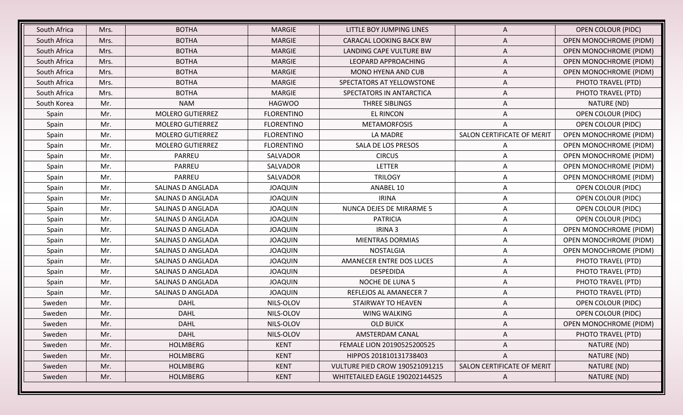| South Africa | Mrs. | <b>BOTHA</b>             | <b>MARGIE</b>     | LITTLE BOY JUMPING LINES       | A                          | <b>OPEN COLOUR (PIDC)</b>     |
|--------------|------|--------------------------|-------------------|--------------------------------|----------------------------|-------------------------------|
| South Africa | Mrs. | <b>BOTHA</b>             | <b>MARGIE</b>     | CARACAL LOOKING BACK BW        | A                          | <b>OPEN MONOCHROME (PIDM)</b> |
| South Africa | Mrs. | <b>BOTHA</b>             | <b>MARGIE</b>     | LANDING CAPE VULTURE BW        | A                          | <b>OPEN MONOCHROME (PIDM)</b> |
| South Africa | Mrs. | <b>BOTHA</b>             | <b>MARGIE</b>     | LEOPARD APPROACHING            | A                          | <b>OPEN MONOCHROME (PIDM)</b> |
| South Africa | Mrs. | <b>BOTHA</b>             | <b>MARGIE</b>     | MONO HYENA AND CUB             | A                          | <b>OPEN MONOCHROME (PIDM)</b> |
| South Africa | Mrs. | <b>BOTHA</b>             | <b>MARGIE</b>     | SPECTATORS AT YELLOWSTONE      | A                          | PHOTO TRAVEL (PTD)            |
| South Africa | Mrs. | <b>BOTHA</b>             | <b>MARGIE</b>     | SPECTATORS IN ANTARCTICA       | Α                          | PHOTO TRAVEL (PTD)            |
| South Korea  | Mr.  | <b>NAM</b>               | <b>HAGWOO</b>     | <b>THREE SIBLINGS</b>          | A                          | NATURE (ND)                   |
| Spain        | Mr.  | <b>MOLERO GUTIERREZ</b>  | <b>FLORENTINO</b> | <b>EL RINCON</b>               | A                          | OPEN COLOUR (PIDC)            |
| Spain        | Mr.  | <b>MOLERO GUTIERREZ</b>  | <b>FLORENTINO</b> | <b>METAMORFOSIS</b>            | A                          | OPEN COLOUR (PIDC)            |
| Spain        | Mr.  | <b>MOLERO GUTIERREZ</b>  | <b>FLORENTINO</b> | LA MADRE                       | SALON CERTIFICATE OF MERIT | <b>OPEN MONOCHROME (PIDM)</b> |
| Spain        | Mr.  | <b>MOLERO GUTIERREZ</b>  | <b>FLORENTINO</b> | SALA DE LOS PRESOS             | A                          | <b>OPEN MONOCHROME (PIDM)</b> |
| Spain        | Mr.  | <b>PARREU</b>            | SALVADOR          | <b>CIRCUS</b>                  | A                          | OPEN MONOCHROME (PIDM)        |
| Spain        | Mr.  | PARREU                   | SALVADOR          | LETTER                         | Α                          | <b>OPEN MONOCHROME (PIDM)</b> |
| Spain        | Mr.  | <b>PARREU</b>            | SALVADOR          | <b>TRILOGY</b>                 | A                          | <b>OPEN MONOCHROME (PIDM)</b> |
| Spain        | Mr.  | SALINAS D ANGLADA        | <b>JOAQUIN</b>    | ANABEL 10                      | A                          | <b>OPEN COLOUR (PIDC)</b>     |
| Spain        | Mr.  | SALINAS D ANGLADA        | <b>JOAQUIN</b>    | <b>IRINA</b>                   | A                          | <b>OPEN COLOUR (PIDC)</b>     |
| Spain        | Mr.  | SALINAS D ANGLADA        | <b>JOAQUIN</b>    | NUNCA DEJES DE MIRARME 5       | A                          | <b>OPEN COLOUR (PIDC)</b>     |
| Spain        | Mr.  | SALINAS D ANGLADA        | <b>JOAQUIN</b>    | <b>PATRICIA</b>                | Α                          | <b>OPEN COLOUR (PIDC)</b>     |
| Spain        | Mr.  | SALINAS D ANGLADA        | <b>JOAQUIN</b>    | <b>IRINA 3</b>                 | A                          | <b>OPEN MONOCHROME (PIDM)</b> |
| Spain        | Mr.  | SALINAS D ANGLADA        | <b>JOAQUIN</b>    | <b>MIENTRAS DORMIAS</b>        | Α                          | <b>OPEN MONOCHROME (PIDM)</b> |
| Spain        | Mr.  | SALINAS D ANGLADA        | <b>JOAQUIN</b>    | NOSTALGIA                      | A                          | <b>OPEN MONOCHROME (PIDM)</b> |
| Spain        | Mr.  | SALINAS D ANGLADA        | <b>JOAQUIN</b>    | AMANECER ENTRE DOS LUCES       | A                          | PHOTO TRAVEL (PTD)            |
| Spain        | Mr.  | SALINAS D ANGLADA        | <b>JOAQUIN</b>    | <b>DESPEDIDA</b>               | A                          | PHOTO TRAVEL (PTD)            |
| Spain        | Mr.  | <b>SALINAS D ANGLADA</b> | <b>JOAQUIN</b>    | NOCHE DE LUNA 5                | A                          | PHOTO TRAVEL (PTD)            |
| Spain        | Mr.  | SALINAS D ANGLADA        | <b>JOAQUIN</b>    | REFLEJOS AL AMANECER 7         | Α                          | PHOTO TRAVEL (PTD)            |
| Sweden       | Mr.  | <b>DAHL</b>              | NILS-OLOV         | <b>STAIRWAY TO HEAVEN</b>      | A                          | OPEN COLOUR (PIDC)            |
| Sweden       | Mr.  | <b>DAHL</b>              | NILS-OLOV         | <b>WING WALKING</b>            | A                          | <b>OPEN COLOUR (PIDC)</b>     |
| Sweden       | Mr.  | DAHL                     | NILS-OLOV         | <b>OLD BUICK</b>               | A                          | <b>OPEN MONOCHROME (PIDM)</b> |
| Sweden       | Mr.  | <b>DAHL</b>              | NILS-OLOV         | AMSTERDAM CANAL                | A                          | PHOTO TRAVEL (PTD)            |
| Sweden       | Mr.  | <b>HOLMBERG</b>          | <b>KENT</b>       | FEMALE LION 20190525200525     | Α                          | NATURE (ND)                   |
| Sweden       | Mr.  | <b>HOLMBERG</b>          | <b>KENT</b>       | HIPPOS 201810131738403         | A                          | NATURE (ND)                   |
| Sweden       | Mr.  | <b>HOLMBERG</b>          | <b>KENT</b>       | VULTURE PIED CROW 190521091215 | SALON CERTIFICATE OF MERIT | NATURE (ND)                   |
| Sweden       | Mr.  | <b>HOLMBERG</b>          | <b>KENT</b>       | WHITETAILED EAGLE 190202144525 | A                          | NATURE (ND)                   |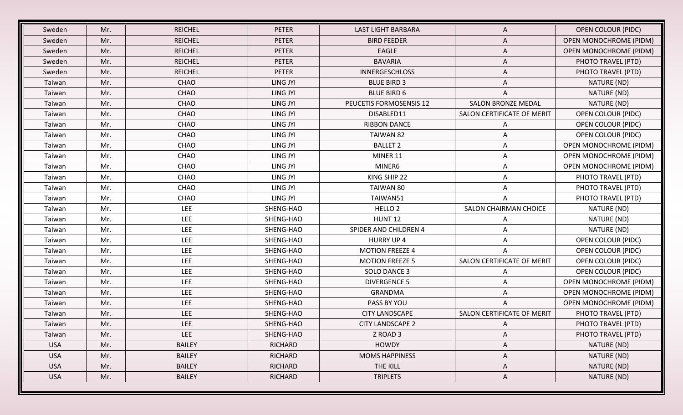| Sweden     | Mr. | <b>REICHEL</b> | <b>PETER</b>    | <b>LAST LIGHT BARBARA</b> | A                            | <b>OPEN COLOUR (PIDC)</b>     |
|------------|-----|----------------|-----------------|---------------------------|------------------------------|-------------------------------|
| Sweden     | Mr. | <b>REICHEL</b> | <b>PETER</b>    | <b>BIRD FEEDER</b>        | A                            | <b>OPEN MONOCHROME (PIDM)</b> |
| Sweden     | Mr. | <b>REICHEL</b> | <b>PETER</b>    | <b>EAGLE</b>              | A                            | <b>OPEN MONOCHROME (PIDM)</b> |
| Sweden     | Mr. | <b>REICHEL</b> | <b>PETER</b>    | <b>BAVARIA</b>            | A                            | PHOTO TRAVEL (PTD)            |
| Sweden     | Mr. | <b>REICHEL</b> | <b>PETER</b>    | <b>INNERGESCHLOSS</b>     | A                            | PHOTO TRAVEL (PTD)            |
| Taiwan     | Mr. | CHAO           | <b>LING JYI</b> | <b>BLUE BIRD 3</b>        | A                            | NATURE (ND)                   |
| Taiwan     | Mr. | CHAO           | <b>LING JYI</b> | <b>BLUE BIRD 6</b>        | A                            | NATURE (ND)                   |
| Taiwan     | Mr. | CHAO           | <b>LING JYI</b> | PEUCETIS FORMOSENSIS 12   | <b>SALON BRONZE MEDAL</b>    | NATURE (ND)                   |
| Taiwan     | Mr. | CHAO           | LING JYI        | DISABLED11                | SALON CERTIFICATE OF MERIT   | <b>OPEN COLOUR (PIDC)</b>     |
| Taiwan     | Mr. | CHAO           | <b>LING JYI</b> | <b>RIBBON DANCE</b>       | Α                            | <b>OPEN COLOUR (PIDC)</b>     |
| Taiwan     | Mr. | CHAO           | <b>LING JYI</b> | TAIWAN 82                 | A                            | OPEN COLOUR (PIDC)            |
| Taiwan     | Mr. | CHAO           | LING JYI        | <b>BALLET 2</b>           | A                            | <b>OPEN MONOCHROME (PIDM)</b> |
| Taiwan     | Mr. | CHAO           | <b>LING JYI</b> | MINER 11                  | A                            | <b>OPEN MONOCHROME (PIDM)</b> |
| Taiwan     | Mr. | CHAO           | <b>LING JYI</b> | MINER6                    | A                            | <b>OPEN MONOCHROME (PIDM)</b> |
| Taiwan     | Mr. | CHAO           | <b>LING JYI</b> | KING SHIP 22              | A                            | PHOTO TRAVEL (PTD)            |
| Taiwan     | Mr. | CHAO           | LING JYI        | TAIWAN 80                 | A                            | PHOTO TRAVEL (PTD)            |
| Taiwan     | Mr. | CHAO           | <b>LING JYI</b> | TAIWAN51                  | Α                            | PHOTO TRAVEL (PTD)            |
| Taiwan     | Mr. | <b>LEE</b>     | SHENG-HAO       | HELLO <sub>2</sub>        | <b>SALON CHAIRMAN CHOICE</b> | NATURE (ND)                   |
| Taiwan     | Mr. | LEE            | SHENG-HAO       | HUNT <sub>12</sub>        | Α                            | NATURE (ND)                   |
| Taiwan     | Mr. | LEE            | SHENG-HAO       | SPIDER AND CHILDREN 4     | A                            | NATURE (ND)                   |
| Taiwan     | Mr. | <b>LEE</b>     | SHENG-HAO       | <b>HURRY UP 4</b>         | A                            | <b>OPEN COLOUR (PIDC)</b>     |
| Taiwan     | Mr. | LEE            | SHENG-HAO       | <b>MOTION FREEZE 4</b>    | A                            | <b>OPEN COLOUR (PIDC)</b>     |
| Taiwan     | Mr. | <b>LEE</b>     | SHENG-HAO       | <b>MOTION FREEZE 5</b>    | SALON CERTIFICATE OF MERIT   | OPEN COLOUR (PIDC)            |
| Taiwan     | Mr. | LEE            | SHENG-HAO       | <b>SOLO DANCE 3</b>       | Α                            | <b>OPEN COLOUR (PIDC)</b>     |
| Taiwan     | Mr. | LEE            | SHENG-HAO       | <b>DIVERGENCE 5</b>       | A                            | <b>OPEN MONOCHROME (PIDM)</b> |
| Taiwan     | Mr. | <b>LEE</b>     | SHENG-HAO       | GRANDMA                   | A                            | <b>OPEN MONOCHROME (PIDM)</b> |
| Taiwan     | Mr. | <b>LEE</b>     | SHENG-HAO       | PASS BY YOU               | A                            | <b>OPEN MONOCHROME (PIDM)</b> |
| Taiwan     | Mr. | LEE            | SHENG-HAO       | <b>CITY LANDSCAPE</b>     | SALON CERTIFICATE OF MERIT   | PHOTO TRAVEL (PTD)            |
| Taiwan     | Mr. | LEE            | SHENG-HAO       | <b>CITY LANDSCAPE 2</b>   | A                            | PHOTO TRAVEL (PTD)            |
| Taiwan     | Mr. | <b>LEE</b>     | SHENG-HAO       | Z ROAD 3                  | A                            | PHOTO TRAVEL (PTD)            |
| <b>USA</b> | Mr. | <b>BAILEY</b>  | RICHARD         | <b>HOWDY</b>              | A                            | NATURE (ND)                   |
| <b>USA</b> | Mr. | <b>BAILEY</b>  | RICHARD         | <b>MOMS HAPPINESS</b>     | Α                            | NATURE (ND)                   |
| <b>USA</b> | Mr. | <b>BAILEY</b>  | <b>RICHARD</b>  | THE KILL                  | A                            | NATURE (ND)                   |
| <b>USA</b> | Mr. | <b>BAILEY</b>  | RICHARD         | <b>TRIPLETS</b>           | A                            | NATURE (ND)                   |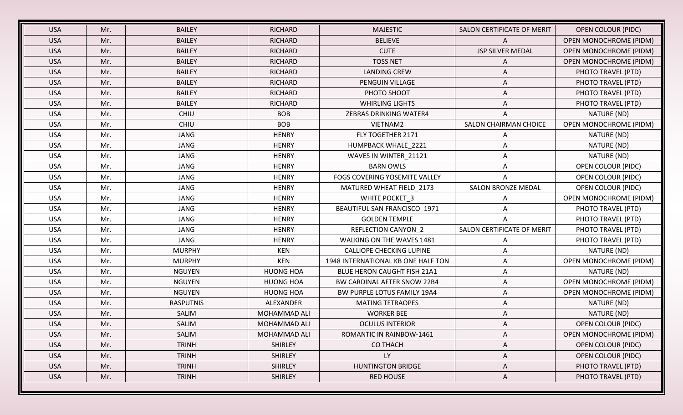| <b>USA</b> | Mr. | <b>BAILEY</b>    | <b>RICHARD</b>      | <b>MAJESTIC</b>                    | SALON CERTIFICATE OF MERIT | <b>OPEN COLOUR (PIDC)</b>     |
|------------|-----|------------------|---------------------|------------------------------------|----------------------------|-------------------------------|
| <b>USA</b> | Mr. | <b>BAILEY</b>    | <b>RICHARD</b>      | <b>BELIEVE</b>                     | A                          | <b>OPEN MONOCHROME (PIDM)</b> |
| <b>USA</b> | Mr. | <b>BAILEY</b>    | <b>RICHARD</b>      | <b>CUTE</b>                        | JSP SILVER MEDAL           | <b>OPEN MONOCHROME (PIDM)</b> |
| <b>USA</b> | Mr. | <b>BAILEY</b>    | <b>RICHARD</b>      | <b>TOSS NET</b>                    | A                          | <b>OPEN MONOCHROME (PIDM)</b> |
| <b>USA</b> | Mr. | <b>BAILEY</b>    | <b>RICHARD</b>      | <b>LANDING CREW</b>                | A                          | PHOTO TRAVEL (PTD)            |
| <b>USA</b> | Mr. | <b>BAILEY</b>    | <b>RICHARD</b>      | PENGUIN VILLAGE                    | A                          | PHOTO TRAVEL (PTD)            |
| <b>USA</b> | Mr. | <b>BAILEY</b>    | <b>RICHARD</b>      | PHOTO SHOOT                        | A                          | PHOTO TRAVEL (PTD)            |
| <b>USA</b> | Mr. | <b>BAILEY</b>    | <b>RICHARD</b>      | <b>WHIRLING LIGHTS</b>             | Α                          | PHOTO TRAVEL (PTD)            |
| <b>USA</b> | Mr. | <b>CHIU</b>      | <b>BOB</b>          | ZEBRAS DRINKING WATER4             | Α                          | NATURE (ND)                   |
| <b>USA</b> | Mr. | CHIU             | <b>BOB</b>          | VIETNAM2                           | SALON CHAIRMAN CHOICE      | <b>OPEN MONOCHROME (PIDM)</b> |
| <b>USA</b> | Mr. | JANG             | <b>HENRY</b>        | FLY TOGETHER 2171                  | A                          | NATURE (ND)                   |
| <b>USA</b> | Mr. | JANG             | <b>HENRY</b>        | HUMPBACK WHALE_2221                | Α                          | NATURE (ND)                   |
| <b>USA</b> | Mr. | JANG             | <b>HENRY</b>        | WAVES IN WINTER_21121              | A                          | NATURE (ND)                   |
| <b>USA</b> | Mr. | JANG             | <b>HENRY</b>        | <b>BARN OWLS</b>                   | Α                          | <b>OPEN COLOUR (PIDC)</b>     |
| <b>USA</b> | Mr. | JANG             | <b>HENRY</b>        | FOGS COVERING YOSEMITE VALLEY      | A                          | <b>OPEN COLOUR (PIDC)</b>     |
| <b>USA</b> | Mr. | JANG             | <b>HENRY</b>        | MATURED WHEAT FIELD 2173           | SALON BRONZE MEDAL         | <b>OPEN COLOUR (PIDC)</b>     |
| <b>USA</b> | Mr. | JANG             | <b>HENRY</b>        | WHITE POCKET_3                     | A                          | <b>OPEN MONOCHROME (PIDM)</b> |
| <b>USA</b> | Mr. | JANG             | <b>HENRY</b>        | BEAUTIFUL SAN FRANCISCO_1971       | A                          | PHOTO TRAVEL (PTD)            |
| <b>USA</b> | Mr. | JANG             | <b>HENRY</b>        | <b>GOLDEN TEMPLE</b>               | A                          | PHOTO TRAVEL (PTD)            |
| <b>USA</b> | Mr. | JANG             | <b>HENRY</b>        | <b>REFLECTION CANYON_2</b>         | SALON CERTIFICATE OF MERIT | PHOTO TRAVEL (PTD)            |
| <b>USA</b> | Mr. | JANG             | <b>HENRY</b>        | WALKING ON THE WAVES 1481          | A                          | PHOTO TRAVEL (PTD)            |
| <b>USA</b> | Mr. | <b>MURPHY</b>    | <b>KEN</b>          | <b>CALLIOPE CHECKING LUPINE</b>    | Α                          | NATURE (ND)                   |
| <b>USA</b> | Mr. | <b>MURPHY</b>    | <b>KEN</b>          | 1948 INTERNATIONAL KB ONE HALF TON | A                          | <b>OPEN MONOCHROME (PIDM)</b> |
| <b>USA</b> | Mr. | <b>NGUYEN</b>    | <b>HUONG HOA</b>    | BLUE HERON CAUGHT FISH 21A1        | A                          | NATURE (ND)                   |
| <b>USA</b> | Mr. | <b>NGUYEN</b>    | <b>HUONG HOA</b>    | BW CARDINAL AFTER SNOW 22B4        | A                          | <b>OPEN MONOCHROME (PIDM)</b> |
| <b>USA</b> | Mr. | <b>NGUYEN</b>    | <b>HUONG HOA</b>    | BW PURPLE LOTUS FAMILY 19A4        | Α                          | <b>OPEN MONOCHROME (PIDM)</b> |
| <b>USA</b> | Mr. | <b>RASPUTNIS</b> | ALEXANDER           | <b>MATING TETRAOPES</b>            | A                          | NATURE (ND)                   |
| <b>USA</b> | Mr. | SALIM            | MOHAMMAD ALI        | <b>WORKER BEE</b>                  | A                          | NATURE (ND)                   |
| <b>USA</b> | Mr. | SALIM            | MOHAMMAD ALI        | <b>OCULUS INTERIOR</b>             | Α                          | OPEN COLOUR (PIDC)            |
| <b>USA</b> | Mr. | SALIM            | <b>MOHAMMAD ALI</b> | ROMANTIC IN RAINBOW-1461           | A                          | <b>OPEN MONOCHROME (PIDM)</b> |
| <b>USA</b> | Mr. | <b>TRINH</b>     | <b>SHIRLEY</b>      | <b>CO THACH</b>                    | Α                          | <b>OPEN COLOUR (PIDC)</b>     |
| <b>USA</b> | Mr. | <b>TRINH</b>     | <b>SHIRLEY</b>      | LY                                 | A                          | <b>OPEN COLOUR (PIDC)</b>     |
| <b>USA</b> | Mr. | <b>TRINH</b>     | <b>SHIRLEY</b>      | <b>HUNTINGTON BRIDGE</b>           | A                          | PHOTO TRAVEL (PTD)            |
| <b>USA</b> | Mr. | <b>TRINH</b>     | <b>SHIRLEY</b>      | <b>RED HOUSE</b>                   | A                          | PHOTO TRAVEL (PTD)            |